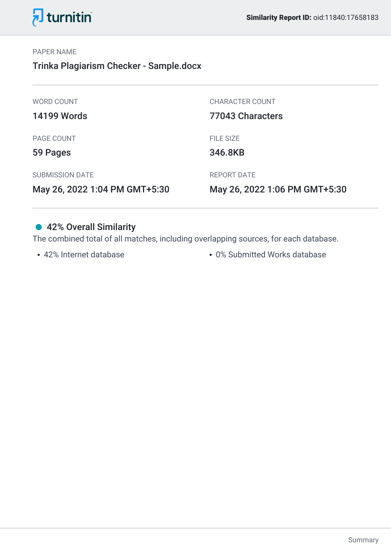



#### PAPER NAME

Trinka Plagiarism Checker - Sample.docx

| May 26, 2022 1:04 PM GMT+5:30 | May 26, 2022 1:06 PM GMT+5:30 |
|-------------------------------|-------------------------------|
| <b>SUBMISSION DATE</b>        | <b>REPORT DATE</b>            |
| 59 Pages                      | 346.8KB                       |
| PAGE COUNT                    | <b>FILE SIZE</b>              |
| <b>14199 Words</b>            | 77043 Characters              |
| <b>WORD COUNT</b>             | <b>CHARACTER COUNT</b>        |
|                               |                               |

## ● 42% Overall Similarity

The combined total of all matches, including overlapping sources, for each database.

42% Internet database 0% Submitted Works database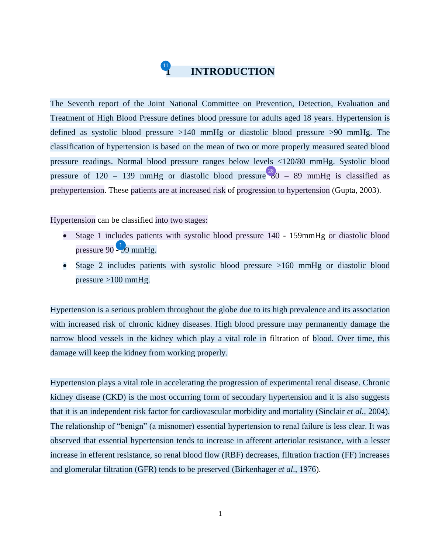#### **1 INTRODUCTION 4**

<span id="page-1-0"></span>The Seventh report of the Joint National Committee on Prevention, Detection, Evaluation and Treatment of High Blood Pressure defines blood pressure for adults aged 18 years. Hypertension is defined as systolic blood pressure >140 mmHg or diastolic blood pressure >90 mmHg. The classification of hypertension is based on the mean of two or more properly measured seated blood pressure readings. Normal blood pressure ranges below levels <120/80 mmHg. Systolic blood pressure of 120 – 139 mmHg or diastolic blood pressure  $\frac{^{28}}{^{60}}$  – 89 mmHg is classified as prehypertension. These patients are at increased risk of progression to hypertension (Gupta, 2003).

Hypertension can be classified into two stages:

- Stage 1 includes patients with systolic blood pressure 140 159mmHg or diastolic blood pressure  $90 - 99$  $90 - 99$  mmHg.
- Stage 2 includes patients with systolic blood pressure >160 mmHg or diastolic blood pressure >100 mmHg.

Hypertension is a serious problem throughout the globe due to its high prevalence and its association with increased risk of chronic kidney diseases. High blood pressure may permanently damage the narrow blood vessels in the kidney which play a vital role in filtration of blood. Over time, this damage will keep the kidney from working properly.

Hypertension plays a vital role in accelerating the progression of experimental renal disease. Chronic kidney disease (CKD) is the most occurring form of secondary hypertension and it is also suggests that it is an independent risk factor for cardiovascular morbidity and mortality (Sinclair *et al.,* 2004). The relationship of "benign" (a misnomer) essential hypertension to renal failure is less clear. It was observed that essential hypertension tends to increase in afferent arteriolar resistance, with a lesser increase in efferent resistance, so renal blood flow (RBF) decreases, filtration fraction (FF) increases and glomerular filtration (GFR) tends to be preserved (Birkenhager *et al*., 1976).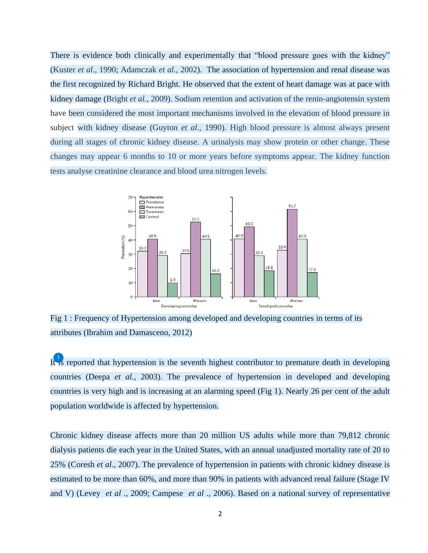There is evidence both clinically and experimentally that "blood pressure goes with the kidney" (Kuster *et al.,* 1990; Adamczak *et al.,* 2002). The association of hypertension and renal disease was the first recognized by Richard Bright. He observed that the extent of heart damage was at pace with kidney damage (Bright *et al.,* 2009). Sodium retention and activation of the renin-angiotensin system have been considered the most important mechanisms involved in the elevation of blood pressure in subject with kidney disease (Guyton *et al.,* 1990). High blood pressure is almost always present during all stages of chronic kidney disease. A urinalysis may show protein or other change. These changes may appear 6 months to 10 or more years before symptoms appear. The kidney function tests analyse creatinine clearance and blood urea nitrogen levels.



Fig 1 : Frequency of Hypertension among developed and developing countries in terms of its attributes (Ibrahim and Damasceno, 2012)

I[t is](#page-60-0) reported that hypertension is the seventh highest contributor to premature death in developing countries (Deepa *et al.,* 2003). The prevalence of hypertension in developed and developing countries is very high and is increasing at an alarming speed (Fig 1). Nearly 26 per cent of the adult population worldwide is affected by hypertension.

Chronic kidney disease affects more than 20 million US adults while more than 79,812 chronic dialysis patients die each year in the United States, with an annual unadjusted mortality rate of 20 to 25% (Coresh *et al.,* 2007). The prevalence of hypertension in patients with chronic kidney disease is estimated to be more than 60%, and more than 90% in patients with advanced renal failure (Stage IV and V) (Levey *et al .,* 2009; Campese *et al .,* 2006). Based on a national survey of representative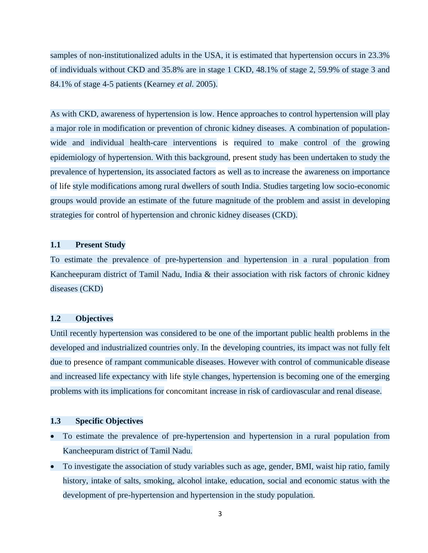samples of non-institutionalized adults in the USA, it is estimated that hypertension occurs in 23.3% of individuals without CKD and 35.8% are in stage 1 CKD, 48.1% of stage 2, 59.9% of stage 3 and 84.1% of stage 4-5 patients (Kearney *et al.* 2005).

As with CKD, awareness of hypertension is low. Hence approaches to control hypertension will play a major role in modification or prevention of chronic kidney diseases. A combination of populationwide and individual health-care interventions is required to make control of the growing epidemiology of hypertension. With this background, present study has been undertaken to study the prevalence of hypertension, its associated factors as well as to increase the awareness on importance of life style modifications among rural dwellers of south India. Studies targeting low socio-economic groups would provide an estimate of the future magnitude of the problem and assist in developing strategies for control of hypertension and chronic kidney diseases (CKD).

#### **1.1 Present Study**

To estimate the prevalence of pre-hypertension and hypertension in a rural population from Kancheepuram district of Tamil Nadu, India & their association with risk factors of chronic kidney diseases (CKD)

#### **1.2 Objectives**

Until recently hypertension was considered to be one of the important public health problems in the developed and industrialized countries only. In the developing countries, its impact was not fully felt due to presence of rampant communicable diseases. However with control of communicable disease and increased life expectancy with life style changes, hypertension is becoming one of the emerging problems with its implications for concomitant increase in risk of cardiovascular and renal disease.

#### **1.3 Specific Objectives**

- To estimate the prevalence of pre-hypertension and hypertension in a rural population from Kancheepuram district of Tamil Nadu.
- To investigate the association of study variables such as age, gender, BMI, waist hip ratio, family history, intake of salts, smoking, alcohol intake, education, social and economic status with the development of pre-hypertension and hypertension in the study population.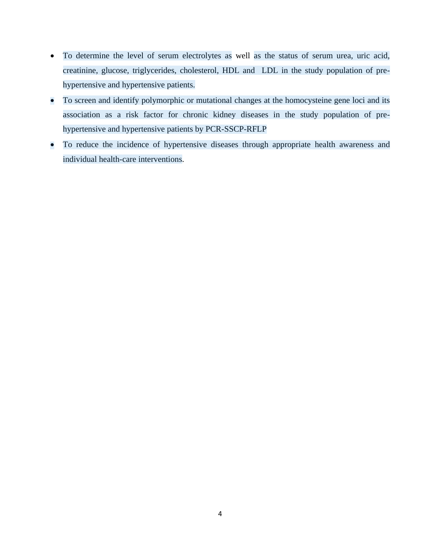- To determine the level of serum electrolytes as well as the status of serum urea, uric acid, creatinine, glucose, triglycerides, cholesterol, HDL and LDL in the study population of prehypertensive and hypertensive patients.
- To screen and identify polymorphic or mutational changes at the homocysteine gene loci and its association as a risk factor for chronic kidney diseases in the study population of prehypertensive and hypertensive patients by PCR-SSCP-RFLP
- To reduce the incidence of hypertensive diseases through appropriate health awareness and individual health-care interventions.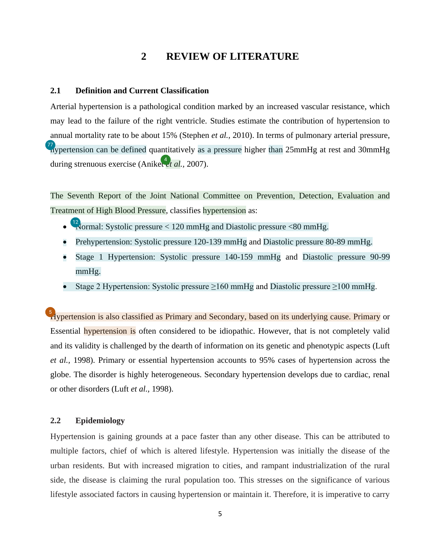## **2 REVIEW OF LITERATURE**

#### <span id="page-5-0"></span>**2.1 Definition and Current Classification**

Arterial hypertension is a pathological condition marked by an increased vascular resistance, which may lead to the failure of the right ventricle. Studies estimate the contribution of hypertension to annual mortality rate to be about 15% (Stephen *et al.,* 2010). In terms of pulmonary arterial pressure,  $\frac{77}{10}$  $\frac{77}{10}$  $\frac{77}{10}$  pertension can be defined quantitatively as a pressure higher than 25mmHg at rest and 30mmHg during strenuous exercise (Anik[et](#page-60-0) *et al.,* 2007). 4

The Seventh Report of the Joint National Committee on Prevention, Detection, Evaluation and Treatment of High Blood Pressure, classifies hypertension as:

- $\frac{12}{10}$  $\frac{12}{10}$  $\frac{12}{10}$  Normal: Systolic pressure < 120 mmHg and Diastolic pressure < 80 mmHg.
- Prehypertension: Systolic pressure 120-139 mmHg and Diastolic pressure 80-89 mmHg.
- Stage 1 Hypertension: Systolic pressure 140-159 mmHg and Diastolic pressure 90-99 mmHg.
- Stage 2 Hypertension: Systolic pressure  $>160$  mmHg and Diastolic pressure  $>100$  mmHg.

<sup>5</sup>/<sub>1</sub> Aypertension is also classified as Primary and Secondary, based on its underlying cause. Primary or Essential hypertension is often considered to be idiopathic. However, that is not completely valid and its validity is challenged by the dearth of information on its genetic and phenotypic aspects (Luft *et al.,* 1998). Primary or essential hypertension accounts to 95% cases of hypertension across the globe. The disorder is highly heterogeneous. Secondary hypertension develops due to cardiac, renal or other disorders (Luft *et al.,* 1998).

#### **2.2 Epidemiology**

Hypertension is gaining grounds at a pace faster than any other disease. This can be attributed to multiple factors, chief of which is altered lifestyle. Hypertension was initially the disease of the urban residents. But with increased migration to cities, and rampant industrialization of the rural side, the disease is claiming the rural population too. This stresses on the significance of various lifestyle associated factors in causing hypertension or maintain it. Therefore, it is imperative to carry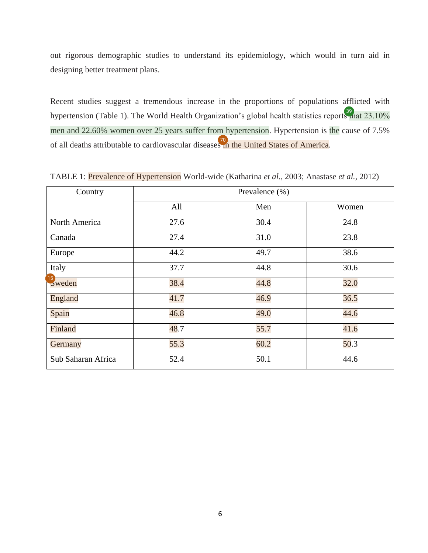<span id="page-6-0"></span>out rigorous demographic studies to understand its epidemiology, which would in turn aid in designing better treatment plans.

Recent studies suggest a tremendous increase in the proportions of populations afflicted with hypertension (Table 1). The World Health Organization's global health statistics report[s th](#page-63-0)at 23.10% men and 22.60% women over 25 years suffer from hypertension. Hypertension is the cause of 7.5% of all deaths attributable to cardiovascular disease[s in](#page-66-0) the United States of America.

| Country            | Prevalence (%) |      |       |  |
|--------------------|----------------|------|-------|--|
|                    | All            | Men  | Women |  |
| North America      | 27.6           | 30.4 | 24.8  |  |
| Canada             | 27.4           | 31.0 | 23.8  |  |
| Europe             | 44.2           | 49.7 | 38.6  |  |
| Italy              | 37.7           | 44.8 | 30.6  |  |
| $15$<br>Sweden     | 38.4           | 44.8 | 32.0  |  |
| <b>England</b>     | 41.7           | 46.9 | 36.5  |  |
| Spain              | 46.8           | 49.0 | 44.6  |  |
| Finland            | 48.7           | 55.7 | 41.6  |  |
| Germany            | 55.3           | 60.2 | 50.3  |  |
| Sub Saharan Africa | 52.4           | 50.1 | 44.6  |  |

TABLE 1: Prevalence of Hypertension World-wide (Katharina *et al.,* 2003; Anastase *et al.*, 2012)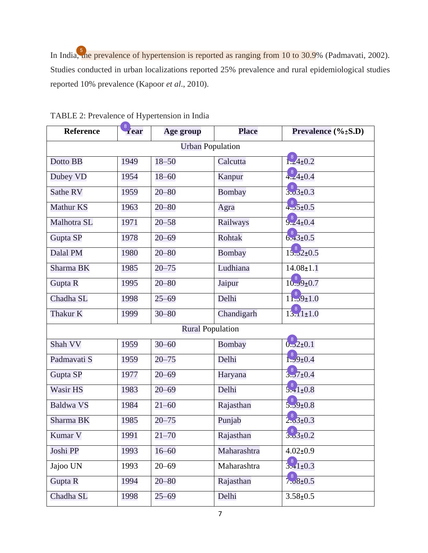<span id="page-7-0"></span>In Indi[a, th](#page-60-0)e prevalence of hypertension is reported as ranging from 10 to 30.9% (Padmavati, 2002). Studies conducted in urban localizations reported 25% prevalence and rural epidemiological studies reported 10% prevalence (Kapoor *et al*., 2010).

| <b>Reference</b>        | 8<br>Year | Age group               | <b>Place</b>  | Prevalence $(\% \pm S.D)$ |  |  |
|-------------------------|-----------|-------------------------|---------------|---------------------------|--|--|
| <b>Urban Population</b> |           |                         |               |                           |  |  |
| Dotto BB                | 1949      | $18 - 50$               | Calcutta      | $\frac{8}{1.24 \pm 0.2}$  |  |  |
| Dubey VD                | 1954      | $18 - 60$               | Kanpur        | $4.24 \pm 0.4$            |  |  |
| Sathe RV                | 1959      | $20 - 80$               | <b>Bombay</b> | $3.03 \pm 0.3$            |  |  |
| <b>Mathur KS</b>        | 1963      | $20 - 80$               | Agra          | $4.55 \pm 0.5$            |  |  |
| Malhotra SL             | 1971      | $20 - 58$               | Railways      | $\frac{8}{9.24 \pm 0.4}$  |  |  |
| Gupta SP                | 1978      | $20 - 69$               | Rohtak        | $6.43 \pm 0.5$            |  |  |
| Dalal PM                | 1980      | $20 - 80$               | Bombay        | $15.32 \pm 0.5$           |  |  |
| Sharma BK               | 1985      | $20 - 75$               | Ludhiana      | $14.08 \pm 1.1$           |  |  |
| Gupta R                 | 1995      | $20 - 80$               | Jaipur        | $10.99 \pm 0.7$           |  |  |
| Chadha SL               | 1998      | $25 - 69$               | Delhi         | $18$ <sub>29</sub> $+1.0$ |  |  |
| Thakur K                | 1999      | $30 - 80$               | Chandigarh    | 13.111.0                  |  |  |
|                         |           | <b>Rural Population</b> |               |                           |  |  |
| Shah VV                 | 1959      | $30 - 60$               | Bombay        | $\frac{8}{0.22 \pm 0.1}$  |  |  |
| Padmavati S             | 1959      | $20 - 75$               | Delhi         | $3.9 \pm 0.4$             |  |  |
| Gupta SP                | 1977      | $20 - 69$               | Haryana       | $3.37 \pm 0.4$            |  |  |
| Wasir HS                | 1983      | $20 - 69$               | Delhi         | $5.41 \pm 0.8$            |  |  |
| <b>Baldwa VS</b>        | 1984      | $21 - 60$               | Rajasthan     | $5.9 + 0.8$               |  |  |
| Sharma BK               | 1985      | $20 - 75$               | Punjab        | $2.3 + 0.3$               |  |  |
| Kumar V                 | 1991      | $21 - 70$               | Rajasthan     | 3.320.2                   |  |  |
| Joshi PP                | 1993      | $16 - 60$               | Maharashtra   | $4.02 \pm 0.9$            |  |  |
| Jajoo UN                | 1993      | $20 - 69$               | Maharashtra   | $3.41 \pm 0.3$            |  |  |
| Gupta R                 | 1994      | $20 - 80$               | Rajasthan     | $7.08 \pm 0.5$            |  |  |
| Chadha SL               | 1998      | $25 - 69$               | Delhi         | $3.58 \pm 0.5$            |  |  |

TABLE 2: Prevalence of Hypertension in India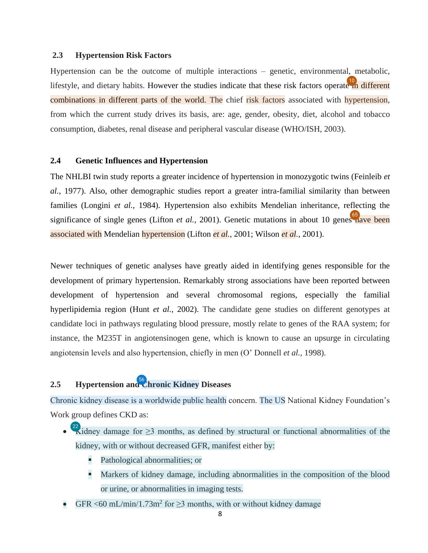#### <span id="page-8-0"></span>**2.3 Hypertension Risk Factors**

Hypertension can be the outcome of multiple interactions – genetic, environmental, metabolic, lifestyle, and dietary habits. However the studies indicate that these risk factors operat[e in](#page-61-0) different combinations in different parts of the world. The chief risk factors associated with hypertension, from which the current study drives its basis, are: age, gender, obesity, diet, alcohol and tobacco consumption, diabetes, renal disease and peripheral vascular disease (WHO/ISH, 2003).

#### **2.4 Genetic Influences and Hypertension**

The NHLBI twin study reports a greater incidence of hypertension in monozygotic twins (Feinleib *et al.,* 1977). Also, other demographic studies report a greater intra-familial similarity than between families (Longini *et al.,* 1984). Hypertension also exhibits Mendelian inheritance, reflecting the significance of single genes (Lifton *et al.*, 2001). Genetic mutations in about 10 gene[s ha](#page-65-0)ve been associated with Mendelian hypertension (Lifton *et al.,* 2001; Wilson *et al.,* 2001).

Newer techniques of genetic analyses have greatly aided in identifying genes responsible for the development of primary hypertension. Remarkably strong associations have been reported between development of hypertension and several chromosomal regions, especially the familial hyperlipidemia region (Hunt *et al.,* 2002). The candidate gene studies on different genotypes at candidate loci in pathways regulating blood pressure, mostly relate to genes of the RAA system; for instance, the M235T in angiotensinogen gene, which is known to cause an upsurge in circulating angiotensin levels and also hypertension, chiefly in men (O' Donnell *et al.,* 1998).

### **2.5 Hypertension an[d C](#page-64-0)hronic Kidney Diseases** 56

Chronic kidney disease is a worldwide public health concern. The US National Kidney Foundation's Work group defines CKD as:

- Kidney damage for  $\geq$ 3 months, as defined by structural or functional abnormalities of the kidney, with or without decreased GFR, manifest either by:
	- Pathological abnormalities; or
	- Markers of kidney damage, including abnormalities in the composition of the blood or urine, or abnormalities in imaging tests.
- GFR <60 mL/min/1.73m<sup>2</sup> for ≥3 months, with or without kidney damage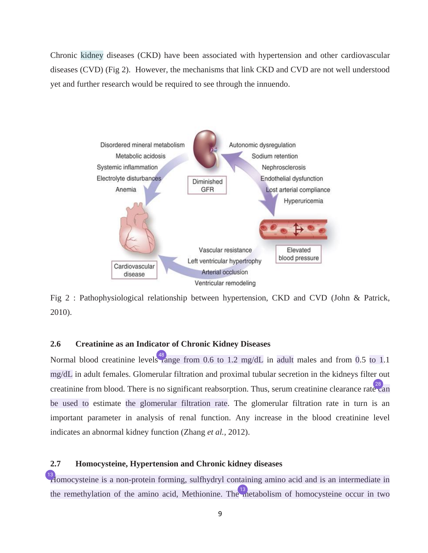<span id="page-9-0"></span>Chronic kidney diseases (CKD) have been associated with hypertension and other cardiovascular diseases (CVD) (Fig 2). However, the mechanisms that link CKD and CVD are not well understood yet and further research would be required to see through the innuendo.



Fig 2 : Pathophysiological relationship between hypertension, CKD and CVD (John & Patrick, 2010).

#### **2.6 Creatinine as an Indicator of Chronic Kidney Diseases**

Normal blood creatinine level[s ra](#page-64-0)nge from 0.6 to 1.2 mg/dL in adult males and from 0.5 to 1.1 mg/dL in adult females. Glomerular filtration and proximal tubular secretion in the kidneys filter out creatinine from blood. There is no significant reabsorption. Thus, serum creatinine clearance rat[e ca](#page-62-0)n be used to estimate the glomerular filtration rate. The glomerular filtration rate in turn is an important parameter in analysis of renal function. Any increase in the blood creatinine level indicates an abnormal kidney function (Zhang *et al.,* 2012).

#### **2.7 Homocysteine, Hypertension and Chronic kidney diseases**

<sup>[13](#page-61-0)</sup> Homocysteine is a non-protein forming, sulfhydryl containing amino acid and is an intermediate in the remethylation of the amino acid, Methionine. Th[e m](#page-61-0)etabolism of homocysteine occur in two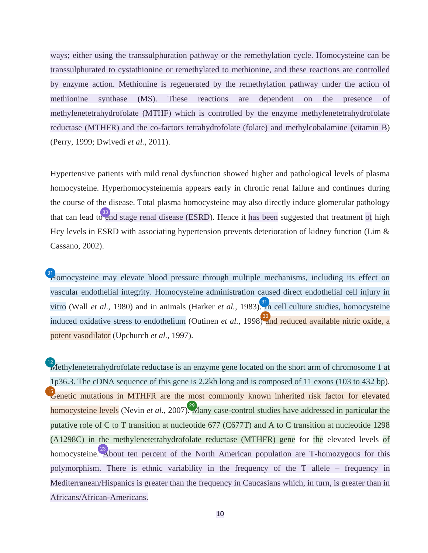<span id="page-10-0"></span>ways; either using the transsulphuration pathway or the remethylation cycle. Homocysteine can be transsulphurated to cystathionine or remethylated to methionine, and these reactions are controlled by enzyme action. Methionine is regenerated by the remethylation pathway under the action of methionine synthase (MS). These reactions are dependent on the presence of methylenetetrahydrofolate (MTHF) which is controlled by the enzyme methylenetetrahydrofolate reductase (MTHFR) and the co-factors tetrahydrofolate (folate) and methylcobalamine (vitamin B) (Perry, 1999; Dwivedi *et al.,* 2011).

Hypertensive patients with mild renal dysfunction showed higher and pathological levels of plasma homocysteine. Hyperhomocysteinemia appears early in chronic renal failure and continues during the course of the disease. Total plasma homocysteine may also directly induce glomerular pathology that can lead t[o en](#page-67-0)d stage renal disease (ESRD). Hence it has been suggested that treatment of high Hcy levels in ESRD with associating hypertension prevents deterioration of kidney function (Lim & Cassano, 2002).

<sup>[31](#page-62-0)</sup> Homocysteine may elevate blood pressure through multiple mechanisms, including its effect on vascular endothelial integrity. Homocysteine administration caused direct endothelial cell injury in vitro (Wall *et al.,* 1980) and in animals (Harker *et al.,* 1983[\). In](#page-62-0) cell culture studies, homocysteine induced oxidative stress to endothelium (Outinen *et al.*, 1998[\) an](#page-62-0)d reduced available nitric oxide, a potent vasodilator (Upchurch *et al.,* 1997).

 $\frac{12}{12}$  $\frac{12}{12}$  $\frac{12}{12}$  Methylenetetrahydrofolate reductase is an enzyme gene located on the short arm of chromosome 1 at 1p36.3. The cDNA sequence of this gene is 2.2kb long and is composed of 11 exons (103 to 432 bp). <sup>[15](#page-61-0)</sup> enetic mutations in MTHFR are the most commonly known inherited risk factor for elevated homocysteine levels (Nevin *et al., 2007*[\). M](#page-62-0)any case-control studies have addressed in particular the putative role of C to T transition at nucleotide 677 (C677T) and A to C transition at nucleotide 1298 (A1298C) in the methylenetetrahydrofolate reductase (MTHFR) gene for the elevated levels of homocysteine[. A](#page-62-0)bout ten percent of the North American population are T-homozygous for this polymorphism. There is ethnic variability in the frequency of the T allele – frequency in Mediterranean/Hispanics is greater than the frequency in Caucasians which, in turn, is greater than in Africans/African-Americans.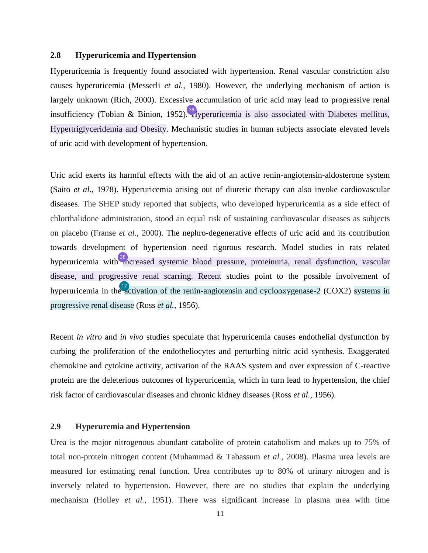#### <span id="page-11-0"></span>**2.8 Hyperuricemia and Hypertension**

Hyperuricemia is frequently found associated with hypertension. Renal vascular constriction also causes hyperuricemia (Messerli *et al.,* 1980). However, the underlying mechanism of action is largely unknown (Rich, 2000). Excessive accumulation of uric acid may lead to progressive renal insufficiency (Tobian & Binion, 1952). Ayperuricemia is also associated with Diabetes mellitus, Hypertriglyceridemia and Obesity. Mechanistic studies in human subjects associate elevated levels of uric acid with development of hypertension.

Uric acid exerts its harmful effects with the aid of an active renin-angiotensin-aldosterone system (Saito *et al.,* 1978). Hyperuricemia arising out of diuretic therapy can also invoke cardiovascular diseases. The SHEP study reported that subjects, who developed hyperuricemia as a side effect of chlorthalidone administration, stood an equal risk of sustaining cardiovascular diseases as subjects on placebo (Franse *et al.,* 2000). The nephro-degenerative effects of uric acid and its contribution towards development of hypertension need rigorous research. Model studies in rats related hyperuricemia with <sup>38</sup> increased systemic blood pressure, proteinuria, renal dysfunction, vascular disease, and progressive renal scarring. Recent studies point to the possible involvement of hyperuricemia in th[e ac](#page-61-0)tivation of the renin-angiotensin and cyclooxygenase-2 (COX2) systems in progressive renal disease (Ross *et al.,* 1956).

Recent *in vitro* and *in vivo* studies speculate that hyperuricemia causes endothelial dysfunction by curbing the proliferation of the endotheliocytes and perturbing nitric acid synthesis. Exaggerated chemokine and cytokine activity, activation of the RAAS system and over expression of C-reactive protein are the deleterious outcomes of hyperuricemia, which in turn lead to hypertension, the chief risk factor of cardiovascular diseases and chronic kidney diseases (Ross *et al.,* 1956).

#### **2.9 Hyperuremia and Hypertension**

Urea is the major nitrogenous abundant catabolite of protein catabolism and makes up to 75% of total non-protein nitrogen content (Muhammad & Tabassum *et al.,* 2008). Plasma urea levels are measured for estimating renal function. Urea contributes up to 80% of urinary nitrogen and is inversely related to hypertension. However, there are no studies that explain the underlying mechanism (Holley *et al.,* 1951). There was significant increase in plasma urea with time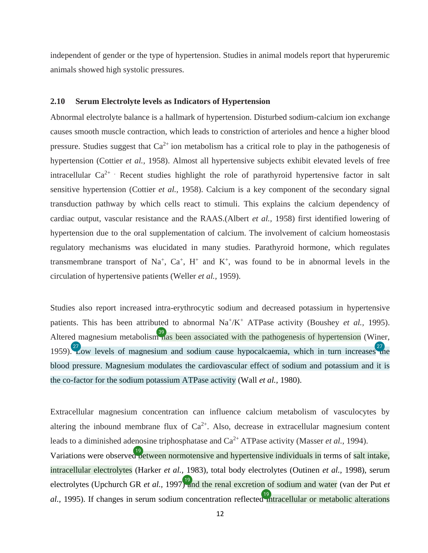<span id="page-12-0"></span>independent of gender or the type of hypertension. Studies in animal models report that hyperuremic animals showed high systolic pressures.

#### **2.10 Serum Electrolyte levels as Indicators of Hypertension**

Abnormal electrolyte balance is a hallmark of hypertension. Disturbed sodium-calcium ion exchange causes smooth muscle contraction, which leads to constriction of arterioles and hence a higher blood pressure. Studies suggest that  $Ca^{2+}$  ion metabolism has a critical role to play in the pathogenesis of hypertension (Cottier *et al.,* 1958). Almost all hypertensive subjects exhibit elevated levels of free intracellular  $Ca^{2+}$ . Recent studies highlight the role of parathyroid hypertensive factor in salt sensitive hypertension (Cottier *et al.,* 1958). Calcium is a key component of the secondary signal transduction pathway by which cells react to stimuli. This explains the calcium dependency of cardiac output, vascular resistance and the RAAS.(Albert *et al.,* 1958) first identified lowering of hypertension due to the oral supplementation of calcium. The involvement of calcium homeostasis regulatory mechanisms was elucidated in many studies. Parathyroid hormone, which regulates transmembrane transport of Na<sup>+</sup>, Ca<sup>+</sup>, H<sup>+</sup> and K<sup>+</sup>, was found to be in abnormal levels in the circulation of hypertensive patients (Weller *et al.,* 1959).

Studies also report increased intra-erythrocytic sodium and decreased potassium in hypertensive patients. This has been attributed to abnormal Na<sup>+</sup>/K<sup>+</sup> ATPase activity (Boushey *et al.,* 1995). Altered magnesium metabolis[m ha](#page-63-0)s been associated with the pathogenesis of hypertension (Winer, 1959). Zow levels of magnesium and sodium cause hypocalcaemia, which in turn increases  $\frac{27}{10}$ blood pressure. Magnesium modulates the cardiovascular effect of sodium and potassium and it is the co-factor for the sodium potassium ATPase activity (Wall *et al.,* 1980).

Extracellular magnesium concentration can influence calcium metabolism of vasculocytes by altering the inbound membrane flux of  $Ca^{2+}$ . Also, decrease in extracellular magnesium content leads to a diminished adenosine triphosphatase and Ca2+ ATPase activity (Masser *et al.,* 1994). Variations were observe[d be](#page-61-0)tween normotensive and hypertensive individuals in terms of salt intake, intracellular electrolytes (Harker *et al.,* 1983), total body electrolytes (Outinen *et al.,* 1998), serum electrolytes (Upchurch GR *et al.,* 1997[\) an](#page-61-0)d the renal excretion of sodium and water (van der Put *et* al., 1995). If changes in serum sodium concentration reflecte[d in](#page-61-0)tracellular or metabolic alterations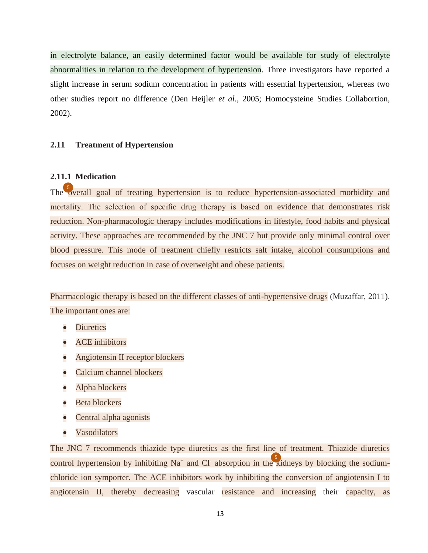in electrolyte balance, an easily determined factor would be available for study of electrolyte abnormalities in relation to the development of hypertension. Three investigators have reported a slight increase in serum sodium concentration in patients with essential hypertension, whereas two other studies report no difference (Den Heijler *et al.,* 2005; Homocysteine Studies Collabortion, 2002).

#### **2.11 Treatment of Hypertension**

#### **2.11.1 Medication**

Th[e ov](#page-60-0)erall goal of treating hypertension is to reduce hypertension-associated morbidity and mortality. The selection of specific drug therapy is based on evidence that demonstrates risk reduction. Non-pharmacologic therapy includes modifications in lifestyle, food habits and physical activity. These approaches are recommended by the JNC 7 but provide only minimal control over blood pressure. This mode of treatment chiefly restricts salt intake, alcohol consumptions and focuses on weight reduction in case of overweight and obese patients.

Pharmacologic therapy is based on the different classes of anti-hypertensive drugs (Muzaffar, 2011). The important ones are:

- **Diuretics**
- ACE inhibitors
- Angiotensin II receptor blockers
- Calcium channel blockers
- Alpha blockers
- Beta blockers
- Central alpha agonists
- Vasodilators

The JNC 7 recommends thiazide type diuretics as the first line of treatment. Thiazide diuretics control hypertension by inhibiting Na<sup>+</sup> and Cl<sup>-</sup> absorption in th[e ki](#page-60-0)dneys by blocking the sodiumchloride ion symporter. The ACE inhibitors work by inhibiting the conversion of angiotensin I to angiotensin II, thereby decreasing vascular resistance and increasing their capacity, as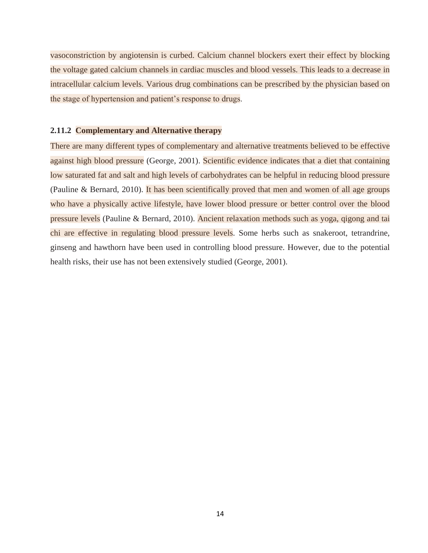vasoconstriction by angiotensin is curbed. Calcium channel blockers exert their effect by blocking the voltage gated calcium channels in cardiac muscles and blood vessels. This leads to a decrease in intracellular calcium levels. Various drug combinations can be prescribed by the physician based on the stage of hypertension and patient's response to drugs.

#### **2.11.2 Complementary and Alternative therapy**

There are many different types of complementary and alternative treatments believed to be effective against high blood pressure (George, 2001). Scientific evidence indicates that a diet that containing low saturated fat and salt and high levels of carbohydrates can be helpful in reducing blood pressure (Pauline & Bernard, 2010). It has been scientifically proved that men and women of all age groups who have a physically active lifestyle, have lower blood pressure or better control over the blood pressure levels (Pauline & Bernard, 2010). Ancient relaxation methods such as yoga, qigong and tai chi are effective in regulating blood pressure levels. Some herbs such as snakeroot, tetrandrine, ginseng and hawthorn have been used in controlling blood pressure. However, due to the potential health risks, their use has not been extensively studied (George, 2001).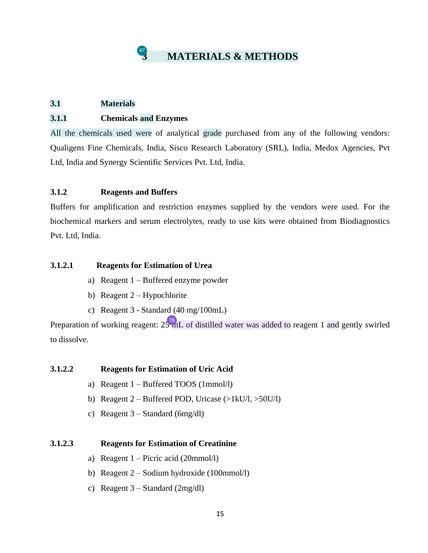

#### <span id="page-15-0"></span>**3.1 Materials**

#### **3.1.1 Chemicals and Enzymes**

All the chemicals used were of analytical grade purchased from any of the following vendors: Qualigens Fine Chemicals, India, Sisco Research Laboratory (SRL), India, Medox Agencies, Pvt Ltd, India and Synergy Scientific Services Pvt. Ltd, India.

#### **3.1.2 Reagents and Buffers**

Buffers for amplification and restriction enzymes supplied by the vendors were used. For the biochemical markers and serum electrolytes, ready to use kits were obtained from Biodiagnostics Pvt. Ltd, India.

#### **3.1.2.1 Reagents for Estimation of Urea**

- a) Reagent 1 Buffered enzyme powder
- b) Reagent 2 Hypochlorite
- c) Reagent 3 Standard (40 mg/100mL)

Preparation of working reagent:  $25^{78}$  mL of distilled water was added to reagent 1 and gently swirled to dissolve.

#### **3.1.2.2 Reagents for Estimation of Uric Acid**

- a) Reagent 1 Buffered TOOS (1mmol/l)
- b) Reagent  $2 \text{Buffered POD}, \text{Uricase } (\text{>1kU/l}, \text{>50U/l})$
- c) Reagent 3 Standard (6mg/dl)

#### **3.1.2.3 Reagents for Estimation of Creatinine**

- a) Reagent  $1 -$ Picric acid (20mmol/l)
- b) Reagent 2 Sodium hydroxide (100mmol/l)
- c) Reagent 3 Standard (2mg/dl)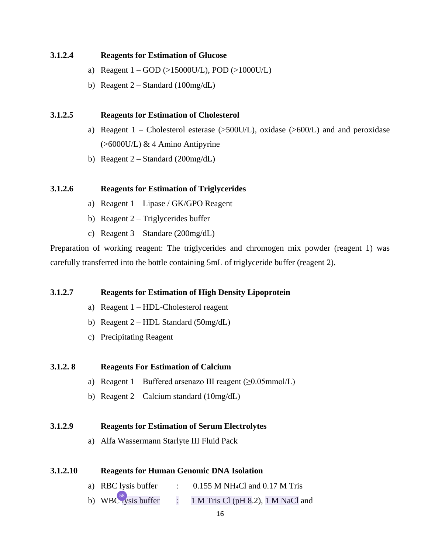#### <span id="page-16-0"></span>**3.1.2.4 Reagents for Estimation of Glucose**

- a) Reagent  $1 GOD \rightarrow 15000U/L$ , POD  $(>1000U/L)$
- b) Reagent  $2 Standard (100mg/dL)$

#### **3.1.2.5 Reagents for Estimation of Cholesterol**

- a) Reagent  $1$  Cholesterol esterase ( $>500$ U/L), oxidase ( $>600$ /L) and and peroxidase (>6000U/L) & 4 Amino Antipyrine
- b) Reagent  $2 Standard (200mg/dL)$

#### **3.1.2.6 Reagents for Estimation of Triglycerides**

- a) Reagent 1 Lipase / GK/GPO Reagent
- b) Reagent  $2 Triglycerides$  buffer
- c) Reagent 3 Standare (200mg/dL)

Preparation of working reagent: The triglycerides and chromogen mix powder (reagent 1) was carefully transferred into the bottle containing 5mL of triglyceride buffer (reagent 2).

#### **3.1.2.7 Reagents for Estimation of High Density Lipoprotein**

- a) Reagent 1 HDL-Cholesterol reagent
- b) Reagent  $2 HDL$  Standard (50mg/dL)
- c) Precipitating Reagent

#### **3.1.2. 8 Reagents For Estimation of Calcium**

- a) Reagent  $1 \text{Buffered}$  arsenazo III reagent ( $\geq 0.05$ mmol/L)
- b) Reagent  $2 -$ Calcium standard (10mg/dL)

#### **3.1.2.9 Reagents for Estimation of Serum Electrolytes**

a) Alfa Wassermann Starlyte III Fluid Pack

#### **3.1.2.10 Reagents for Human Genomic DNA Isolation**

- a) RBC lysis buffer  $\therefore$  0.155 M NH<sub>4</sub>Cl and 0.17 M Tris
- $\pm$  1 M Tris Cl (pH 8.2), 1 M NaCl and b) WBC  $^{58}$  vsis buffer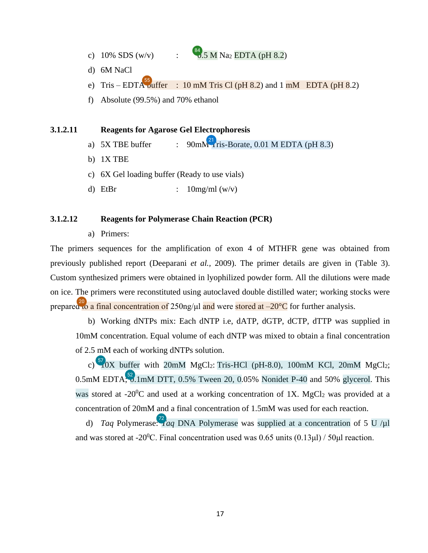- <span id="page-17-0"></span>c) 10% SDS (w/v) :  $\frac{84}{\sqrt{3}}$  M Na2 EDTA (pH 8.2)
- d) 6M NaCl
- e) Tris EDT[A bu](#page-64-0)ffer : 10 mM Tris Cl (pH 8.2) and 1 mM EDTA (pH 8.2)
- f) Absolute (99.5%) and 70% ethanol

#### **3.1.2.11 Reagents for Agarose Gel Electrophoresis**

- a) 5X TBE buffer :  $90 \text{mM}^2$  ris-Borate, 0.01 M EDTA (pH 8.3)
- b) 1X TBE
- c) 6X Gel loading buffer (Ready to use vials)
- d) EtBr  $: 10mg/ml (w/v)$

#### **3.1.2.12 Reagents for Polymerase Chain Reaction (PCR)**

a) Primers:

The primers sequences for the amplification of exon 4 of MTHFR gene was obtained from previously published report (Deeparani *et al.,* 2009). The primer details are given in (Table 3). Custom synthesized primers were obtained in lyophilized powder form. All the dilutions were made on ice. The primers were reconstituted using autoclaved double distilled water; working stocks were prepare[d to](#page-61-0) a final concentration of  $250$ ng/µl and were stored at  $-20^{\circ}$ C for further analysis.

 b) Working dNTPs mix: Each dNTP i.e, dATP, dGTP, dCTP, dTTP was supplied in 10mM concentration. Equal volume of each dNTP was mixed to obtain a final concentration of 2.5 mM each of working dNTPs solution.

c)  $\frac{57}{10}$  buffer with 20mM MgCl<sub>2</sub>: Tris-HCl (pH-8.0), [10](#page-64-0)0mM KCl, 20mM MgCl<sub>2</sub>; 0.5mM EDTA;  $\frac{52}{3}$ .1mM DTT, 0.5% Tween 20, 0.05% Nonidet P-40 and 50% glycerol. This was stored at  $-20^{\circ}\text{C}$  and used at a working concentration of 1X. MgCl<sub>2</sub> was provided at a concentration of 20mM and a final concentration of 1.5mM was used for each reaction.

d) *Taq* Polymerase:  $\frac{72}{1}$  $\frac{72}{1}$  $\frac{72}{1}$  *aq* DNA Polymerase was supplied at a concentration of 5 U /µl and was stored at -20<sup>0</sup>C. Final concentration used was 0.65 units  $(0.13 \mu\text{I})$  / 50 $\mu\text{I}$  reaction.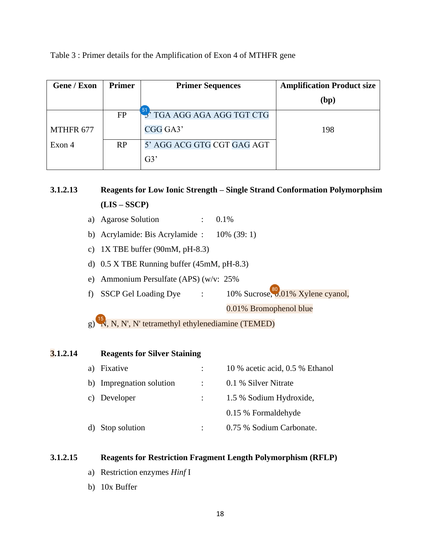<span id="page-18-0"></span>Table 3 : Primer details for the Amplification of Exon 4 of MTHFR gene

| <b>Gene / Exon</b> | Primer    | <b>Primer Sequences</b>    | <b>Amplification Product size</b> |
|--------------------|-----------|----------------------------|-----------------------------------|
|                    |           |                            | (bp)                              |
|                    | <b>FP</b> | 3' TGA AGG AGA AGG TGT CTG |                                   |
| MTHFR 677          |           | CGG GA3'                   | 198                               |
| Exon 4             | RP        | 5' AGG ACG GTG CGT GAG AGT |                                   |
|                    |           | G3'                        |                                   |

**3.1.2.13 Reagents for Low Ionic Strength – Single Strand Conformation Polymorphsim (LIS – SSCP)**

- a) Agarose Solution :  $0.1\%$
- b) Acrylamide: Bis Acrylamide : 10% (39: 1)
- c) 1X TBE buffer (90mM, pH-8.3)
- d) 0.5 X TBE Running buffer (45mM, pH-8.3)
- e) Ammonium Persulfate (APS) (w/v: 25%
- f) SSCP Gel Loading Dye :  $10\%$  Sucrose, 0.01% Xylene cyanol,

0.01% Bromophenol blue

 $(g)$ <sup>[15](#page-61-0)</sup>N, N, N', N' tetramethyl ethylenediamine (TEMED)

| 3.1.2.14 |    | <b>Reagents for Silver Staining</b> |                  |                                 |
|----------|----|-------------------------------------|------------------|---------------------------------|
|          | a) | Fixative                            |                  | 10 % acetic acid, 0.5 % Ethanol |
|          |    | b) Impregnation solution            | $\sim$ 10 $\sim$ | 0.1 % Silver Nitrate            |
|          |    | c) Developer                        |                  | 1.5 % Sodium Hydroxide,         |
|          |    |                                     |                  | 0.15 % Formaldehyde             |
|          |    | Stop solution                       |                  | 0.75 % Sodium Carbonate.        |

#### **3.1.2.15 Reagents for Restriction Fragment Length Polymorphism (RFLP)**

- a) Restriction enzymes *Hinf* I
- b) 10x Buffer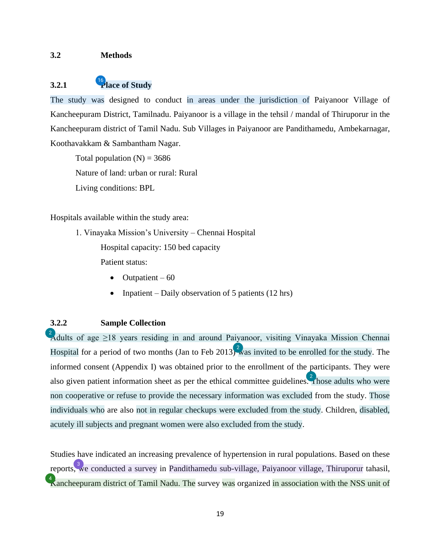#### <span id="page-19-0"></span>**3.2 Methods**

## **3.2.1 [P](#page-61-0)lace of Study**

The study was designed to conduct in areas under the jurisdiction of Paiyanoor Village of Kancheepuram District, Tamilnadu. Paiyanoor is a village in the tehsil / mandal of Thiruporur in the Kancheepuram district of Tamil Nadu. Sub Villages in Paiyanoor are Pandithamedu, Ambekarnagar, Koothavakkam & Sambantham Nagar.

Total population  $(N) = 3686$ Nature of land: urban or rural: Rural Living conditions: BPL

Hospitals available within the study area:

1. Vinayaka Mission's University – Chennai Hospital

Hospital capacity: 150 bed capacity

Patient status:

- $\bullet$  Outpatient 60
- Inpatient Daily observation of 5 patients  $(12 \text{ hrs})$

#### **3.2.2 Sample Collection**

[A](#page-60-0)dults of age  $\geq$ 18 years residing in and around Paiyanoor, visiting Vinayaka Mission Chennai Hospital for a period of two months (Jan to Feb 201[3\) w](#page-60-0)as invited to be enrolled for the study. The informed consent (Appendix I) was obtained prior to the enrollment of the participants. They were also given patient information sheet as per the ethical committee guideline[s. T](#page-60-0)hose adults who were non cooperative or refuse to provide the necessary information was excluded from the study. Those individuals who are also not in regular checkups were excluded from the study. Children, disabled, acutely ill subjects and pregnant women were also excluded from the study.

Studies have indicated an increasing prevalence of hypertension in rural populations. Based on these report[s, w](#page-60-0)e conducted a survey in Pandithamedu sub-village, Paiyanoor village, Thiruporur tahasil,  $\Lambda$ ancheepuram district of Tamil Nadu. The survey was organized in association with the NSS unit of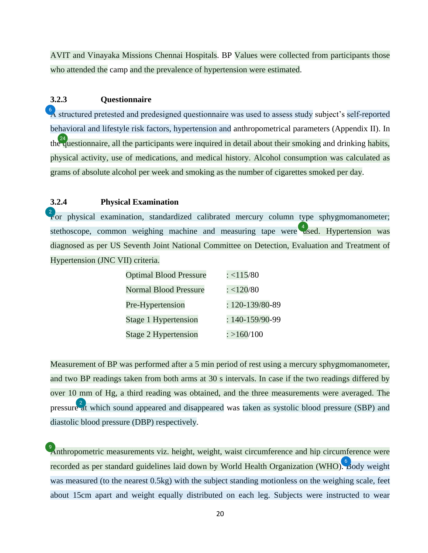<span id="page-20-0"></span>AVIT and Vinayaka Missions Chennai Hospitals. BP Values were collected from participants those who attended the camp and the prevalence of hypertension were estimated.

#### **3.2.3 Questionnaire**

[A](#page-60-0) structured pretested and predesigned questionnaire was used to assess study subject's self-reported behavioral and lifestyle risk factors, hypertension and anthropometrical parameters (Appendix II). In th[e qu](#page-62-0)estionnaire, all the participants were inquired in detail about their smoking and drinking habits, physical activity, use of medications, and medical history. Alcohol consumption was calculated as grams of absolute alcohol per week and smoking as the number of cigarettes smoked per day.

#### **3.2.4 Physical Examination**

 $\frac{2}{1}$  or physical examination, standardized calibrated mercury column type sphygmomanometer; stethoscope, common weighing machine and measuring tape were  $\frac{4}{3}$  sed. Hypertension was diagnosed as per US Seventh Joint National Committee on Detection, Evaluation and Treatment of Hypertension (JNC VII) criteria.

| <b>Optimal Blood Pressure</b> | : <115/80              |
|-------------------------------|------------------------|
| <b>Normal Blood Pressure</b>  | : < 120/80             |
| Pre-Hypertension              | $: 120 - 139/80 - 89$  |
| Stage 1 Hypertension          | $: 140 - 159/90 - 99$  |
| <b>Stage 2 Hypertension</b>   | $\frac{1}{2}$ >160/100 |

Measurement of BP was performed after a 5 min period of rest using a mercury sphygmomanometer, and two BP readings taken from both arms at 30 s intervals. In case if the two readings differed by over 10 mm of Hg, a third reading was obtained, and the three measurements were averaged. The pressure  $\frac{2}{a}$  which sound appeared and disappeared was taken as systolic blood pressure (SBP) and diastolic blood pressure (DBP) respectively.

[A](#page-60-0)nthropometric measurements viz. height, weight, waist circumference and hip circumference were recorded as per standard guidelines laid down by World Health Organization (WHO[\). B](#page-60-0)ody weight was measured (to the nearest 0.5kg) with the subject standing motionless on the weighing scale, feet about 15cm apart and weight equally distributed on each leg. Subjects were instructed to wear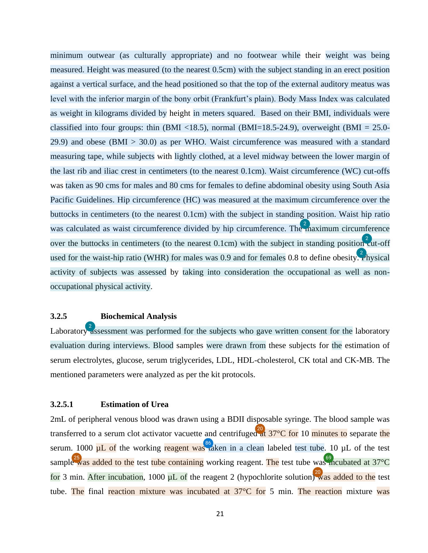<span id="page-21-0"></span>minimum outwear (as culturally appropriate) and no footwear while their weight was being measured. Height was measured (to the nearest 0.5cm) with the subject standing in an erect position against a vertical surface, and the head positioned so that the top of the external auditory meatus was level with the inferior margin of the bony orbit (Frankfurt's plain). Body Mass Index was calculated as weight in kilograms divided by height in meters squared. Based on their BMI, individuals were classified into four groups: thin (BMI <18.5), normal (BMI=18.5-24.9), overweight (BMI = 25.0-29.9) and obese (BMI > 30.0) as per WHO. Waist circumference was measured with a standard measuring tape, while subjects with lightly clothed, at a level midway between the lower margin of the last rib and iliac crest in centimeters (to the nearest 0.1cm). Waist circumference (WC) cut-offs was taken as 90 cms for males and 80 cms for females to define abdominal obesity using South Asia Pacific Guidelines. Hip circumference (HC) was measured at the maximum circumference over the buttocks in centimeters (to the nearest 0.1cm) with the subject in standing position. Waist hip ratio was calculated as waist circumference divided by hip circumference. Th[e m](#page-60-0)aximum circumference over the buttocks in centimeters (to the nearest  $0.1cm$ ) with the subject in standing positio[n cu](#page-60-0)t-off used for the waist-hip ratio (WHR) for males was 0.9 and for females 0.8 to define obesity.  $\frac{2}{3}$  hysical activity of subjects was assessed by taking into consideration the occupational as well as nonoccupational physical activity.

#### **3.2.5 Biochemical Analysis**

Laborator[y as](#page-60-0)sessment was performed for the subjects who gave written consent for the laboratory evaluation during interviews. Blood samples were drawn from these subjects for the estimation of serum electrolytes, glucose, serum triglycerides, LDL, HDL-cholesterol, CK total and CK-MB. The mentioned parameters were analyzed as per the kit protocols.

#### **3.2.5.1 Estimation of Urea**

2mL of peripheral venous blood was drawn using a BDII disposable syringe. The blood sample was transferred to a serum clot activator vacuette and centrifuge[d at](#page-61-0)  $37^{\circ}$ C for 10 minutes to separate the serum. 1000  $\mu$  of the working reagent wa[s ta](#page-67-0)ken in a clean labeled test tube. 10  $\mu$  L of the test sampl[e w](#page-62-0)as added to the test tube containing working reagent. The test tube wa[s in](#page-65-0)cubated at 37 °C for 3 min. After incubation, 1000  $\mu$ L of the reagent 2 (hypochlorite solution[\) w](#page-61-0)as added to the test tube. The final reaction mixture was incubated at 37<sup>o</sup>C for 5 min. The reaction mixture was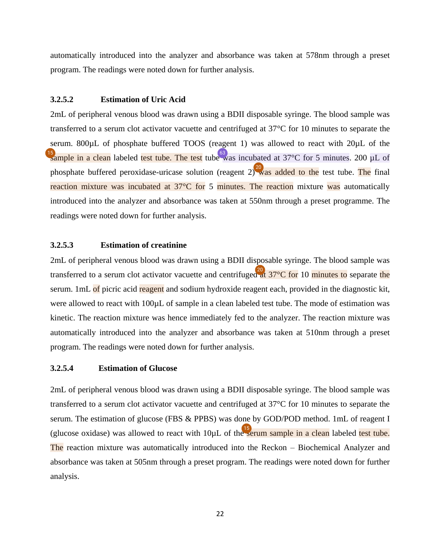<span id="page-22-0"></span>automatically introduced into the analyzer and absorbance was taken at 578nm through a preset program. The readings were noted down for further analysis.

#### **3.2.5.2 Estimation of Uric Acid**

2mL of peripheral venous blood was drawn using a BDII disposable syringe. The blood sample was transferred to a serum clot activator vacuette and centrifuged at 37°C for 10 minutes to separate the serum. 800µL of phosphate buffered TOOS (reagent 1) was allowed to react with 20µL of the <sup>15</sup> ample in a clean labeled test tube. The test tub[e w](#page-65-0)as incubated at 37°C for 5 minutes. 200 µL of phosphate buffered peroxidase-uricase solution (reagent 2)<sup>20</sup> was added to the test tube. The final reaction mixture was incubated at 37<sup>o</sup>C for 5 minutes. The reaction mixture was automatically introduced into the analyzer and absorbance was taken at 550nm through a preset programme. The readings were noted down for further analysis.

#### **3.2.5.3 Estimation of creatinine**

2mL of peripheral venous blood was drawn using a BDII disposable syringe. The blood sample was transferred to a serum clot activator vacuette and centrifuge[d at](#page-61-0)  $37^{\circ}$ C for 10 minutes to separate the serum. 1mL of picric acid reagent and sodium hydroxide reagent each, provided in the diagnostic kit, were allowed to react with 100 $\mu$ L of sample in a clean labeled test tube. The mode of estimation was kinetic. The reaction mixture was hence immediately fed to the analyzer. The reaction mixture was automatically introduced into the analyzer and absorbance was taken at 510nm through a preset program. The readings were noted down for further analysis.

#### **3.2.5.4 Estimation of Glucose**

2mL of peripheral venous blood was drawn using a BDII disposable syringe. The blood sample was transferred to a serum clot activator vacuette and centrifuged at 37°C for 10 minutes to separate the serum. The estimation of glucose (FBS & PPBS) was done by GOD/POD method. 1mL of reagent I (glucose oxidase) was allowed to react with  $10\mu L$  of th[e se](#page-61-0)rum sample in a clean labeled test tube. The reaction mixture was automatically introduced into the Reckon – Biochemical Analyzer and absorbance was taken at 505nm through a preset program. The readings were noted down for further analysis.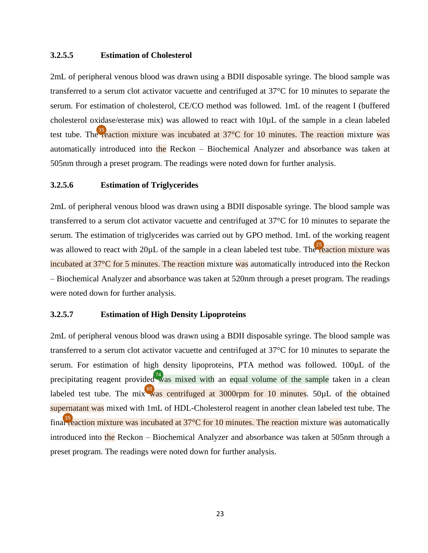#### <span id="page-23-0"></span>**3.2.5.5 Estimation of Cholesterol**

2mL of peripheral venous blood was drawn using a BDII disposable syringe. The blood sample was transferred to a serum clot activator vacuette and centrifuged at 37°C for 10 minutes to separate the serum. For estimation of cholesterol, CE/CO method was followed. 1mL of the reagent I (buffered cholesterol oxidase/esterase mix) was allowed to react with 10µL of the sample in a clean labeled test tube. Th[e re](#page-63-0)action mixture was incubated at  $37^{\circ}$ C for 10 minutes. The reaction mixture was automatically introduced into the Reckon  $-$  Biochemical Analyzer and absorbance was taken at 505nm through a preset program. The readings were noted down for further analysis.

#### **3.2.5.6 Estimation of Triglycerides**

2mL of peripheral venous blood was drawn using a BDII disposable syringe. The blood sample was transferred to a serum clot activator vacuette and centrifuged at 37°C for 10 minutes to separate the serum. The estimation of triglycerides was carried out by GPO method. 1mL of the working reagent was allowed to react with  $20\mu$ L of the sample in a clean labeled test tube. Th[e re](#page-62-0)action mixture was incubated at 37°C for 5 minutes. The reaction mixture was automatically introduced into the Reckon – Biochemical Analyzer and absorbance was taken at 520nm through a preset program. The readings were noted down for further analysis.

#### **3.2.5.7 Estimation of High Density Lipoproteins**

2mL of peripheral venous blood was drawn using a BDII disposable syringe. The blood sample was transferred to a serum clot activator vacuette and centrifuged at 37°C for 10 minutes to separate the serum. For estimation of high density lipoproteins, PTA method was followed. 100µL of the precipitating reagent provided  $\frac{74}{100}$  was mixe[d w](#page-66-0)ith an equal volume of the sample taken in a clean labeled test tube. The mi[x w](#page-65-0)as centrifuged at 3000rpm for 10 minutes. 50 $\mu$ L of the obtained supernatant was mixed with 1mL of HDL-Cholesterol reagent in another clean labeled test tube. The fin[al re](#page-63-0)action mixture was incubated at  $37^{\circ}$ C for 10 minutes. The reaction mixture was automatically introduced into the Reckon – Biochemical Analyzer and absorbance was taken at 505nm through a preset program. The readings were noted down for further analysis.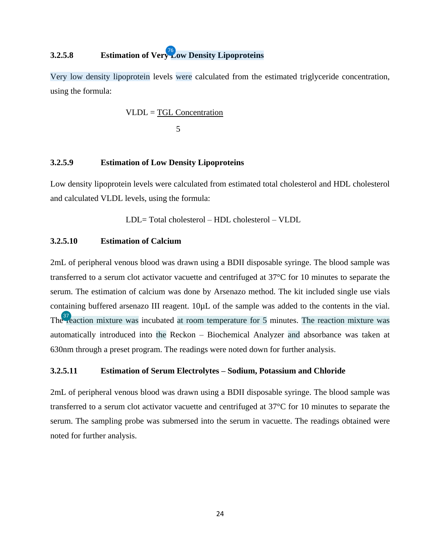## <span id="page-24-0"></span>**3.2.5.8 Estimation of Ver[y L](#page-66-0)ow Density Lipoproteins** 76

Very low density lipoprotein levels were calculated from the estimated triglyceride concentration, using the formula:

$$
VLDL = \underline{TGL}\,\underline{Concentration}\,
$$

$$
5
$$

#### **3.2.5.9 Estimation of Low Density Lipoproteins**

Low density lipoprotein levels were calculated from estimated total cholesterol and HDL cholesterol and calculated VLDL levels, using the formula:

LDL= Total cholesterol – HDL cholesterol – VLDL

#### **3.2.5.10 Estimation of Calcium**

2mL of peripheral venous blood was drawn using a BDII disposable syringe. The blood sample was transferred to a serum clot activator vacuette and centrifuged at 37°C for 10 minutes to separate the serum. The estimation of calcium was done by Arsenazo method. The kit included single use vials containing buffered arsenazo III reagent. 10µL of the sample was added to the contents in the vial. Th[e re](#page-63-0)action mixture was incubated at room temperature for 5 minutes. The reaction mixture was automatically introduced into the Reckon – Biochemical Analyzer and absorbance was taken at 630nm through a preset program. The readings were noted down for further analysis.

#### **3.2.5.11 Estimation of Serum Electrolytes – Sodium, Potassium and Chloride**

2mL of peripheral venous blood was drawn using a BDII disposable syringe. The blood sample was transferred to a serum clot activator vacuette and centrifuged at 37°C for 10 minutes to separate the serum. The sampling probe was submersed into the serum in vacuette. The readings obtained were noted for further analysis.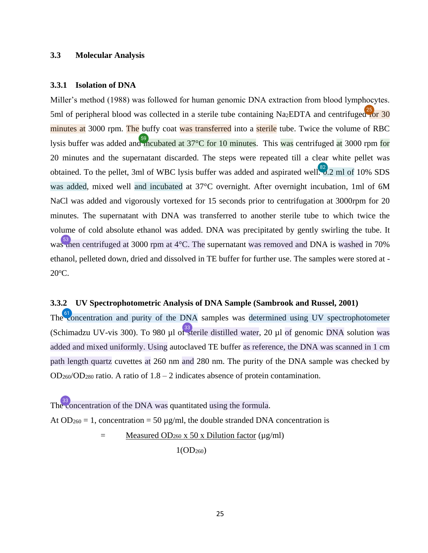#### <span id="page-25-0"></span>**3.3 Molecular Analysis**

#### **3.3.1 Isolation of DNA**

Miller's method (1988) was followed for human genomic DNA extraction from blood lymphocytes. 5ml of peripheral blood was collected in a sterile tube containing Na<sub>2</sub>EDTA and centrifuge[d fo](#page-62-0)r 30 minutes at 3000 rpm. The buffy coat was transferred into a sterile tube. Twice the volume of RBC lysis buffer was added an[d in](#page-65-0)cubated at  $37^{\circ}$ C for 10 minutes. This was centrifuged at 3000 rpm for 20 minutes and the supernatant discarded. The steps were repeated till a clear white pellet was obtained. To the pellet, 3ml of WBC lysis buffer was added and aspirated well.  $\frac{82}{3}$ , 2 ml of 10% SDS was added, mixed well and incubated at 37°C overnight. After overnight incubation, 1ml of 6M NaCl was added and vigorously vortexed for 15 seconds prior to centrifugation at 3000rpm for 20 minutes. The supernatant with DNA was transferred to another sterile tube to which twice the volume of cold absolute ethanol was added. DNA was precipitated by gently swirling the tube. It wa[s th](#page-64-0)en centrifuged at 3000 rpm at 4 °C. The supernatant was removed and DNA is washed in 70% ethanol, pelleted down, dried and dissolved in TE buffer for further use. The samples were stored at - 20<sup>o</sup>C.

#### **3.3.2 UV Spectrophotometric Analysis of DNA Sample (Sambrook and Russel, 2001)**

Th[e co](#page-65-0)ncentration and purity of the DNA samples was determined using UV spectrophotometer (Schimadzu UV-vis 300). To 980 µl o[f st](#page-62-0)erile distilled water, 20 µl of genomic DNA solution was added and mixed uniformly. Using autoclaved TE buffer as reference, the DNA was scanned in 1 cm path length quartz cuvettes at 260 nm and 280 nm. The purity of the DNA sample was checked by  $OD<sub>260</sub>/OD<sub>280</sub>$  ratio. A ratio of  $1.8 - 2$  indicates absence of protein contamination.

Th[e co](#page-62-0)ncentration of the DNA was quantitated using the formula.

At OD<sub>260</sub> = 1, concentration = 50  $\mu$ g/ml, the double stranded DNA concentration is

 $=$  Measured OD<sub>260</sub> x 50 x Dilution factor ( $\mu$ g/ml)

 $1(OD_{260})$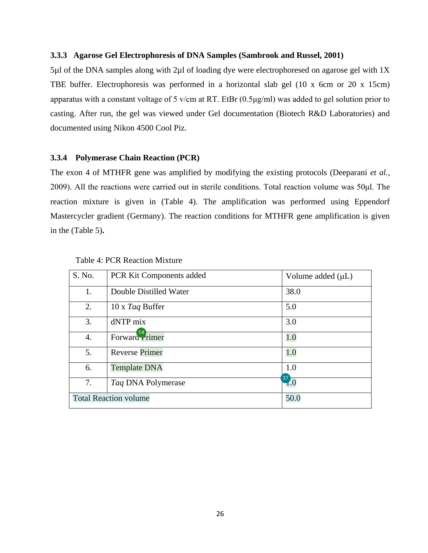#### **3.3.3 Agarose Gel Electrophoresis of DNA Samples (Sambrook and Russel, 2001)**

5µl of the DNA samples along with 2µl of loading dye were electrophoresed on agarose gel with 1X TBE buffer. Electrophoresis was performed in a horizontal slab gel (10 x 6cm or 20 x 15cm) apparatus with a constant voltage of 5 v/cm at RT. EtBr (0.5μg/ml) was added to gel solution prior to casting. After run, the gel was viewed under Gel documentation (Biotech R&D Laboratories) and documented using Nikon 4500 Cool Piz.

#### **3.3.4 Polymerase Chain Reaction (PCR)**

The exon 4 of MTHFR gene was amplified by modifying the existing protocols (Deeparani *et al.,* 2009). All the reactions were carried out in sterile conditions. Total reaction volume was 50μl. The reaction mixture is given in (Table 4). The amplification was performed using Eppendorf Mastercycler gradient (Germany). The reaction conditions for MTHFR gene amplification is given in the (Table 5)**.** 

| S. No.           | PCR Kit Components added     | Volume added $(\mu L)$ |
|------------------|------------------------------|------------------------|
| 1.               | Double Distilled Water       | 38.0                   |
| 2.               | 10 x Taq Buffer              | 5.0                    |
| 3.               | dNTP mix                     | 3.0                    |
| $\overline{4}$ . | Forward $14$ rimer           | 1.0                    |
| 5.               | <b>Reverse Primer</b>        | 1.0                    |
| 6.               | <b>Template DNA</b>          | 1.0                    |
| 7.               | Taq DNA Polymerase           | $\frac{37}{1.0}$       |
|                  | <b>Total Reaction volume</b> | 50.0                   |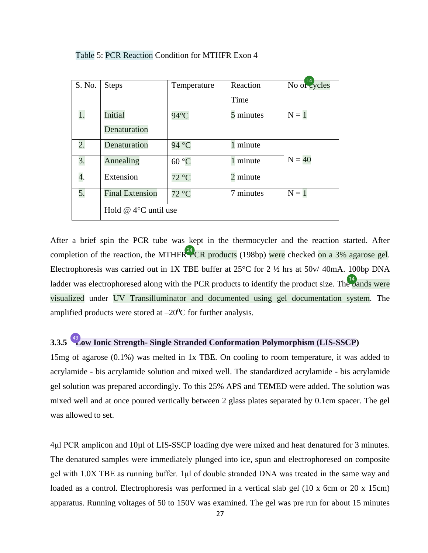| S. No. | <b>Steps</b>              | Temperature | Reaction  | No of $\frac{14}{\text{cycles}}$ |
|--------|---------------------------|-------------|-----------|----------------------------------|
|        |                           |             | Time      |                                  |
| 1.     | Initial                   | 94°C        | 5 minutes | $N = 1$                          |
|        | Denaturation              |             |           |                                  |
| 2.     | Denaturation              | 94 °C       | 1 minute  |                                  |
| 3.     | Annealing                 | 60 °C       | 1 minute  | $N = 40$                         |
| 4.     | Extension                 | 72 °C       | 2 minute  |                                  |
| 5.     | <b>Final Extension</b>    | 72 °C       | 7 minutes | $N = 1$                          |
|        | Hold $@$ 4 $°C$ until use |             |           |                                  |

Table 5: PCR Reaction Condition for MTHFR Exon 4

After a brief spin the PCR tube was kept in the thermocycler and the reaction started. After completion of the reaction, the MTHFR<sup>24</sup>CR products (198bp) were checked on a 3% agarose gel. Electrophoresis was carried out in 1X TBE buffer at 25°C for 2 ½ hrs at 50v/ 40mA. 100bp DNA ladder was electrophoresed along with the PCR products to identify the product size. Th[e ba](#page-61-0)nds were visualized under UV Transilluminator and documented using gel documentation system. The amplified products were stored at  $-20^{\circ}$ C for further analysis.

## **3.3.5** <sup>43</sup> [L](#page-63-0)ow Ionic Strength- Single Stranded Conformation Polymorphism (LIS-SSCP)

15mg of agarose (0.1%) was melted in 1x TBE. On cooling to room temperature, it was added to acrylamide - bis acrylamide solution and mixed well. The standardized acrylamide - bis acrylamide gel solution was prepared accordingly. To this 25% APS and TEMED were added. The solution was mixed well and at once poured vertically between 2 glass plates separated by 0.1cm spacer. The gel was allowed to set.

4μl PCR amplicon and 10µl of LIS-SSCP loading dye were mixed and heat denatured for 3 minutes. The denatured samples were immediately plunged into ice, spun and electrophoresed on composite gel with 1.0X TBE as running buffer. 1μl of double stranded DNA was treated in the same way and loaded as a control. Electrophoresis was performed in a vertical slab gel (10 x 6cm or 20 x 15cm) apparatus. Running voltages of 50 to 150V was examined. The gel was pre run for about 15 minutes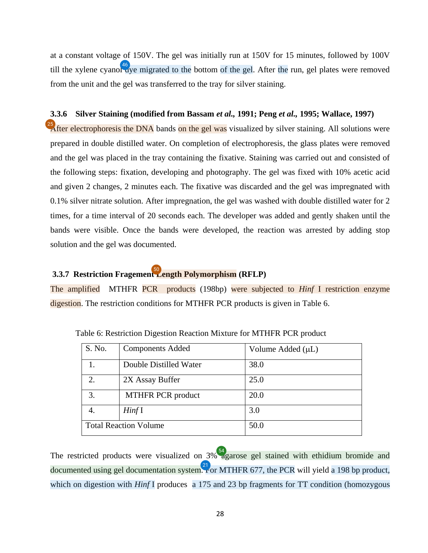<span id="page-28-0"></span>at a constant voltage of 150V. The gel was initially run at 150V for 15 minutes, followed by 100V till the xylene cyano[l dy](#page-64-0)e migrated to the bottom of the gel. After the run, gel plates were removed from the unit and the gel was transferred to the tray for silver staining.

#### **3.3.6 Silver Staining (modified from Bassam** *et al.,* **1991; Peng** *et al.,* **1995; Wallace, 1997)**

 $^{25}$  $^{25}$  $^{25}$  After electrophoresis the DNA bands on the gel was visualized by silver staining. All solutions were prepared in double distilled water. On completion of electrophoresis, the glass plates were removed and the gel was placed in the tray containing the fixative. Staining was carried out and consisted of the following steps: fixation, developing and photography. The gel was fixed with 10% acetic acid and given 2 changes, 2 minutes each. The fixative was discarded and the gel was impregnated with 0.1% silver nitrate solution. After impregnation, the gel was washed with double distilled water for 2 times, for a time interval of 20 seconds each. The developer was added and gently shaken until the bands were visible. Once the bands were developed, the reaction was arrested by adding stop solution and the gel was documented.

## **3.3.7 Restriction Fragemen[t L](#page-64-0)ength Polymorphism (RFLP)**  50

The amplified MTHFR PCR products (198bp) were subjected to *Hinf* I restriction enzyme digestion. The restriction conditions for MTHFR PCR products is given in Table 6.

| S. No. | <b>Components Added</b>      | Volume Added $(\mu L)$ |
|--------|------------------------------|------------------------|
| 1.     | Double Distilled Water       | 38.0                   |
| 2.     | 2X Assay Buffer              | 25.0                   |
| 3.     | <b>MTHFR PCR product</b>     | 20.0                   |
| 4.     | HintI                        | 3.0                    |
|        | <b>Total Reaction Volume</b> | 50.0                   |

Table 6: Restriction Digestion Reaction Mixture for MTHFR PCR product

The restricted products were visualized on  $3\%$  agarose gel stained with ethidium bromide and documented using gel documentation syste[m. Fo](#page-61-0)r MTHFR 677, the PCR will yield a 198 bp product, which on digestion with *Hinf* I produces a 175 and 23 bp fragments for TT condition (homozygous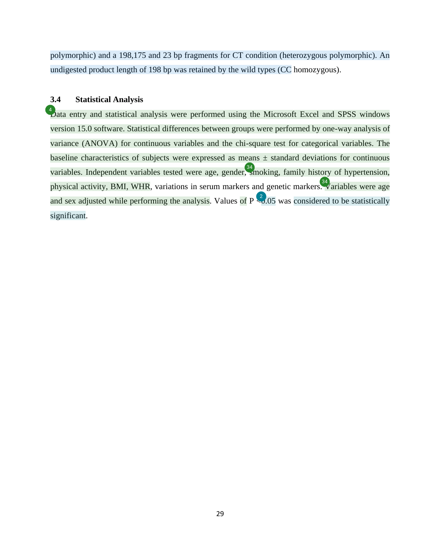<span id="page-29-0"></span>polymorphic) and a 198,175 and 23 bp fragments for CT condition (heterozygous polymorphic). An undigested product length of 198 bp was retained by the wild types (CC homozygous).

#### **3.4 Statistical Analysis**

 $\mathcal{L}$  ata entry and statistical analysis were performed using the Microsoft Excel and SPSS windows version 15.0 software. Statistical differences between groups were performed by one-way analysis of variance (ANOVA) for continuous variables and the chi-square test for categorical variables. The baseline characteristics of subjects were expressed as means  $\pm$  standard deviations for continuous variables. Independent variables tested were age, gender[, sm](#page-63-0)oking, family history of hypertension, physical activity, BMI, WHR, variations in serum markers and genetic marker[s. V](#page-63-0)ariables were age and sex adjusted while performing the analysis. Values of  $P \leq 0.05$  was considered to be statistically significant.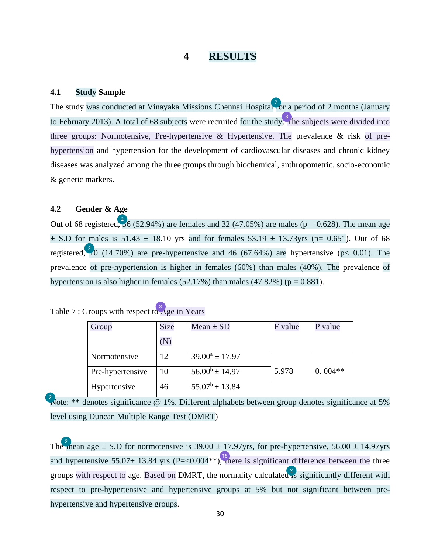### **4 RESULTS**

#### <span id="page-30-0"></span>**4.1 Study Sample**

The study was conducted at Vinayaka Missions Chennai Hospita[l fo](#page-60-0)r a period of 2 months (January to February 2013). A total of 68 subjects were recruited for the stud[y. Th](#page-60-0)e subjects were divided into three groups: Normotensive, Pre-hypertensive  $\&$  Hypertensive. The prevalence  $\&$  risk of prehypertension and hypertension for the development of cardiovascular diseases and chronic kidney diseases was analyzed among the three groups through biochemical, anthropometric, socio-economic & genetic markers.

#### **4.2 Gender & Age**

Out of 68 registered,  $36$  (52.94%) are females and 32 (47.05%) are males ( $p = 0.628$ ). The mean age  $\pm$  S.D for males is 51.43  $\pm$  18.10 yrs and for females 53.19  $\pm$  13.73yrs (p= 0.651). Out of 68 registered,  $\frac{2}{10}$  (14.70%) are pre-hypertensive and 46 (67.64%) are hypertensive (p< 0.01). The prevalence of pre-hypertension is higher in females (60%) than males (40%). The prevalence of hypertension is also higher in females (52.17%) than males (47.82%) ( $p = 0.881$ ).

| Table 7 : Groups with respect to Age in Years |  |  |
|-----------------------------------------------|--|--|
|                                               |  |  |

| Group            | Size | $Mean \pm SD$       | F value | P value   |
|------------------|------|---------------------|---------|-----------|
|                  | (N)  |                     |         |           |
| Normotensive     | 12   | $39.00^a \pm 17.97$ |         |           |
| Pre-hypertensive | 10   | $56.00^b \pm 14.97$ | 5.978   | $0.004**$ |
| Hypertensive     | 46   | $55.07^b \pm 13.84$ |         |           |

[N](#page-60-0)ote: \*\* denotes significance @ 1%. Different alphabets between group denotes significance at 5% level using Duncan Multiple Range Test (DMRT)

Th[e m](#page-60-0)ean age  $\pm$  S.D for normotensive is 39.00  $\pm$  17.97yrs, for pre-hypertensive, 56.00  $\pm$  14.97yrs and hypertensive 55.07 $\pm$  13.84 yrs (P=<0.004\*\*)[, th](#page-61-0)ere is significant difference between the three groups with respect to age. Based on DMRT, the normality calculated  $\frac{2}{18}$  significantly different with respect to pre-hypertensive and hypertensive groups at 5% but not significant between prehypertensive and hypertensive groups.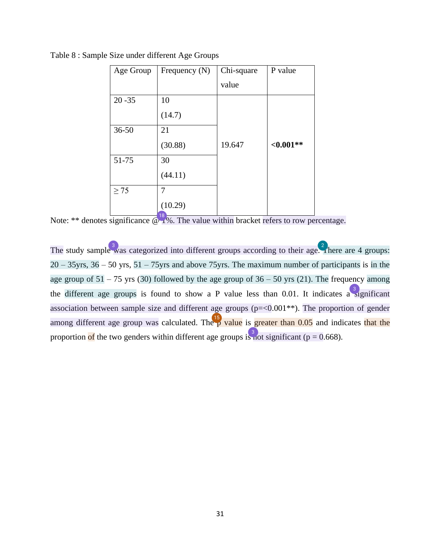| Age Group | Frequency $(N)$            | Chi-square | P value      |
|-----------|----------------------------|------------|--------------|
|           |                            | value      |              |
| $20 - 35$ | 10                         |            |              |
|           | (14.7)                     |            |              |
| $36 - 50$ | 21                         |            |              |
|           | (30.88)                    | 19.647     | ${<}0.001**$ |
| 51-75     | 30                         |            |              |
|           | (44.11)                    |            |              |
| $\geq$ 75 | 7                          |            |              |
|           | (10.29)<br>10 <sub>o</sub> |            |              |

Table 8 : Sample Size under different Age Groups

Note: \*\* denotes significance  $\omega_1^{18}$ %. The value within bracket refers to row percentage.

The study sampl[e w](#page-60-0)as categorized into different groups according to their age[. T](#page-60-0)here are 4 groups:  $20 - 35$ yrs,  $36 - 50$  yrs,  $51 - 75$ yrs and above 75 yrs. The maximum number of participants is in the age group of  $51 - 75$  yrs (30) followed by the age group of  $36 - 50$  yrs (21). The frequency among the different age groups is found to show a P value less than 0.01. It indicates [a si](#page-60-0)gnificant association between sample size and different age groups  $(p=<0.001**)$ . The proportion of gender among different age group was calculated. The  $\frac{15}{9}$  value is greater than 0.05 and indicates that the proportion of the two genders within different age groups i[s no](#page-60-0)t significant ( $p = 0.668$ ).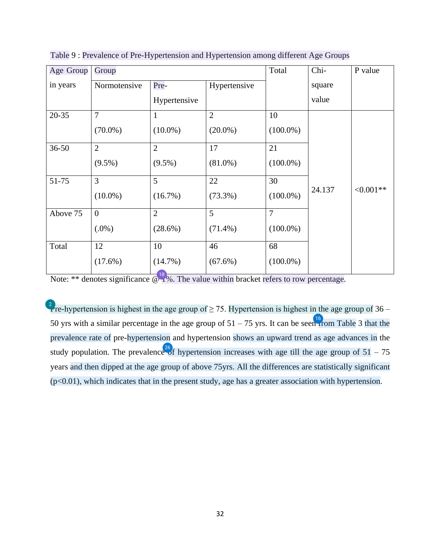| Age Group | Group            |                |                | Total          | Chi-   | P value    |
|-----------|------------------|----------------|----------------|----------------|--------|------------|
| in years  | Normotensive     | Pre-           | Hypertensive   |                | square |            |
|           |                  | Hypertensive   |                |                | value  |            |
| $20 - 35$ | $\overline{7}$   | 1              | $\overline{2}$ | 10             |        |            |
|           | $(70.0\%)$       | $(10.0\%)$     | $(20.0\%)$     | $(100.0\%)$    |        |            |
| $36 - 50$ | $\overline{2}$   | $\overline{2}$ | 17             | 21             |        |            |
|           | $(9.5\%)$        | $(9.5\%)$      | $(81.0\%)$     | $(100.0\%)$    |        |            |
| 51-75     | 3                | 5              | 22             | 30             |        |            |
|           | $(10.0\%)$       | $(16.7\%)$     | $(73.3\%)$     | $(100.0\%)$    | 24.137 | $<0.001**$ |
| Above 75  | $\boldsymbol{0}$ | $\overline{2}$ | 5              | $\overline{7}$ |        |            |
|           | $(.0\%)$         | $(28.6\%)$     | $(71.4\%)$     | $(100.0\%)$    |        |            |
| Total     | 12               | 10             | 46             | 68             |        |            |
|           | $(17.6\%)$       | $(14.7\%)$     | $(67.6\%)$     | $(100.0\%)$    |        |            |

<span id="page-32-0"></span>Table 9 : Prevalence of Pre-Hypertension and Hypertension among different Age Groups

Note: \*\* denotes significance [@ 1%](#page-61-0). The value within bracket refers to row percentage.

<sup>2</sup>/re-hypertension is highest in the age group of  $\geq$  75. Hypertension is highest in the age group of 36 – 50 yrs with a similar percentage in the age group of  $51 - 75$  yrs. It can be see[n fr](#page-61-0)om Table 3 that the prevalence rate of pre-hypertension and hypertension shows an upward trend as age advances in the study population. The prevalenc[e of](#page-62-0) hypertension increases with age till the age group of  $51 - 75$ years and then dipped at the age group of above 75yrs. All the differences are statistically significant  $(p<0.01)$ , which indicates that in the present study, age has a greater association with hypertension.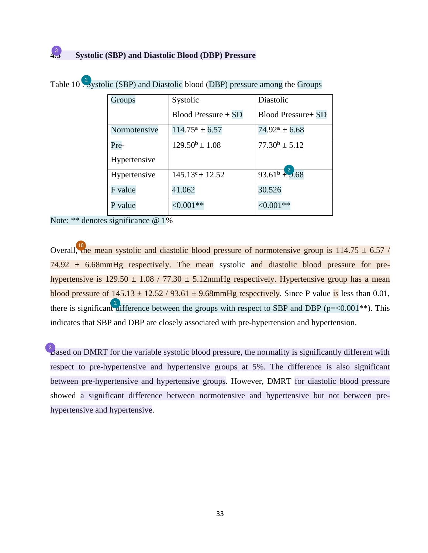| Groups       | Systolic                  | Diastolic                               |
|--------------|---------------------------|-----------------------------------------|
|              | Blood Pressure $\pm$ SD   | <b>Blood Pressure</b> SD                |
| Normotensive | $114.75^{\rm a} \pm 6.57$ | $74.92^a \pm 6.68$                      |
| Pre-         | $129.50^b \pm 1.08$       | $77.30^b \pm 5.12$                      |
| Hypertensive |                           |                                         |
| Hypertensive | $145.13^c \pm 12.52$      | $\frac{2}{93.61^{\mathrm{b}} \pm 9.68}$ |
| F value      | 41.062                    | 30.526                                  |
| P value      | $<0.001**$                | $<,0.001**$                             |

Table 10  $\frac{2}{3}$ ystolic (SBP) and Diastolic blood (DBP) pressure among the Groups

Note: \*\* denotes significance @ 1%

43

Overall[, th](#page-61-0)e mean systolic and diastolic blood pressure of normotensive group is  $114.75 \pm 6.57$  /  $74.92 \pm 6.68$ mmHg respectively. The mean systolic and diastolic blood pressure for prehypertensive is  $129.50 \pm 1.08 / 77.30 \pm 5.12$ mmHg respectively. Hypertensive group has a mean blood pressure of  $145.13 \pm 12.52 / 93.61 \pm 9.68$ mmHg respectively. Since P value is less than 0.01, there is significa[nt di](#page-60-0)fference between the groups with respect to SBP and DBP ( $p = < 0.001$ <sup>\*\*</sup>). This indicates that SBP and DBP are closely associated with pre-hypertension and hypertension.

 $\beta$  ased on DMRT for the variable systolic blood pressure, the normality is significantly different with respect to pre-hypertensive and hypertensive groups at 5%. The difference is also significant between pre-hypertensive and hypertensive groups. However, DMRT for diastolic blood pressure showed a significant difference between normotensive and hypertensive but not between prehypertensive and hypertensive.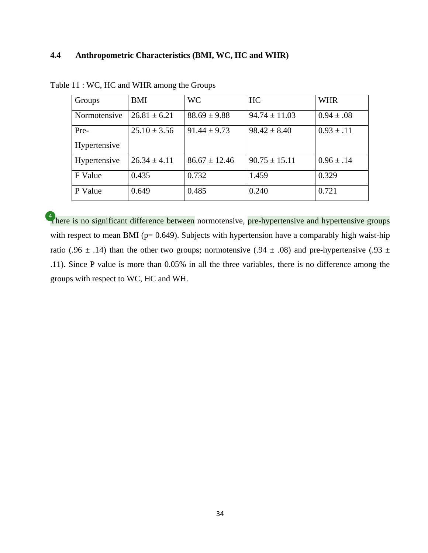#### **4.4 Anthropometric Characteristics (BMI, WC, HC and WHR)**

| Groups       | BMI              | <b>WC</b>         | HC                | <b>WHR</b>     |
|--------------|------------------|-------------------|-------------------|----------------|
| Normotensive | $26.81 \pm 6.21$ | $88.69 \pm 9.88$  | $94.74 \pm 11.03$ | $0.94 \pm .08$ |
| Pre-         | $25.10 \pm 3.56$ | $91.44 \pm 9.73$  | $98.42 \pm 8.40$  | $0.93 \pm .11$ |
| Hypertensive |                  |                   |                   |                |
| Hypertensive | $26.34 \pm 4.11$ | $86.67 \pm 12.46$ | $90.75 \pm 15.11$ | $0.96 \pm .14$ |
| F Value      | 0.435            | 0.732             | 1.459             | 0.329          |
| P Value      | 0.649            | 0.485             | 0.240             | 0.721          |

Table 11 : WC, HC and WHR among the Groups

[T](#page-60-0)here is no significant difference between normotensive, pre-hypertensive and hypertensive groups with respect to mean BMI ( $p= 0.649$ ). Subjects with hypertension have a comparably high waist-hip ratio (.96  $\pm$  .14) than the other two groups; normotensive (.94  $\pm$  .08) and pre-hypertensive (.93  $\pm$ .11). Since P value is more than 0.05% in all the three variables, there is no difference among the groups with respect to WC, HC and WH.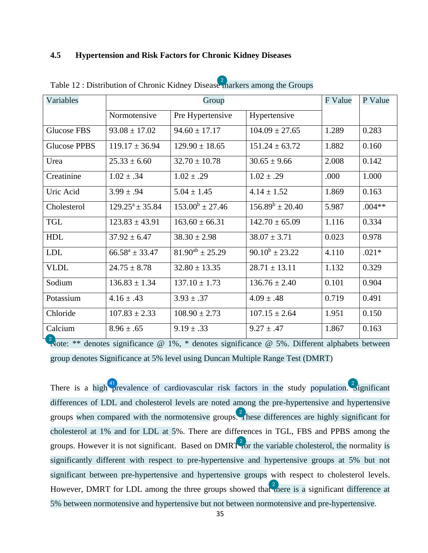#### <span id="page-35-0"></span>**4.5 Hypertension and Risk Factors for Chronic Kidney Diseases**

| Variables           |                      | Group                  |                      |       |          |
|---------------------|----------------------|------------------------|----------------------|-------|----------|
|                     | Normotensive         | Pre Hypertensive       | Hypertensive         |       |          |
| Glucose FBS         | $93.08 \pm 17.02$    | $94.60 \pm 17.17$      | $104.09 \pm 27.65$   | 1.289 | 0.283    |
| <b>Glucose PPBS</b> | $119.17 \pm 36.94$   | $129.90 \pm 18.65$     | $151.24 \pm 63.72$   | 1.882 | 0.160    |
| Urea                | $25.33 \pm 6.60$     | $32.70 \pm 10.78$      | $30.65 \pm 9.66$     | 2.008 | 0.142    |
| Creatinine          | $1.02 \pm .34$       | $1.02 \pm .29$         | $1.02 \pm .29$       | .000  | 1.000    |
| Uric Acid           | $3.99 \pm .94$       | $5.04 \pm 1.45$        | $4.14 \pm 1.52$      | 1.869 | 0.163    |
| Cholesterol         | $129.25^a \pm 35.84$ | $153.00^b \pm 27.46$   | $156.89^b \pm 20.40$ | 5.987 | $.004**$ |
| <b>TGL</b>          | $123.83 \pm 43.91$   | $163.60 \pm 66.31$     | $142.70 \pm 65.09$   | 1.116 | 0.334    |
| <b>HDL</b>          | $37.92 \pm 6.47$     | $38.30 \pm 2.98$       | $38.07 \pm 3.71$     | 0.023 | 0.978    |
| <b>LDL</b>          | $66.58^a \pm 33.47$  | $81.90^{ab} \pm 25.29$ | $90.10^b \pm 23.22$  | 4.110 | $.021*$  |
| <b>VLDL</b>         | $24.75 \pm 8.78$     | $32.80 \pm 13.35$      | $28.71 \pm 13.11$    | 1.132 | 0.329    |
| Sodium              | $136.83 \pm 1.34$    | $137.10 \pm 1.73$      | $136.76 \pm 2.40$    | 0.101 | 0.904    |
| Potassium           | $4.16 \pm .43$       | $3.93 \pm .37$         | $4.09 \pm .48$       | 0.719 | 0.491    |
| Chloride            | $107.83 \pm 2.33$    | $108.90 \pm 2.73$      | $107.15 \pm 2.64$    | 1.951 | 0.150    |
| Calcium             | $8.96 \pm .65$       | $9.19 \pm .33$         | $9.27 \pm .47$       | 1.867 | 0.163    |

Table 12 : Distribution of Chronic Kidney Diseas[e m](#page-60-0)arkers among the Groups

[N](#page-60-0)ote: \*\* denotes significance  $\omega$  1%, \* denotes significance  $\omega$  5%. Different alphabets between group denotes Significance at 5% level using Duncan Multiple Range Test (DMRT)

There is a hig[h pr](#page-63-0)evalence of cardiovascular risk factors in the study population. <sup>2</sup> ignificant differences of LDL and cholesterol levels are noted among the pre-hypertensive and hypertensive groups when compared with the normotensive group[s. T](#page-60-0)hese differences are highly significant for cholesterol at 1% and for LDL at 5%. There are differences in TGL, FBS and PPBS among the groups. However it is not significant. Based on  $DMRT<sup>2</sup>$  or the variable cholesterol, the normality is significantly different with respect to pre-hypertensive and hypertensive groups at 5% but not significant between pre-hypertensive and hypertensive groups with respect to cholesterol levels. However, DMRT for LDL among the three groups showed that  $\frac{2}{\pi}$  here is a significant difference at 5% between normotensive and hypertensive but not between normotensive and pre-hypertensive.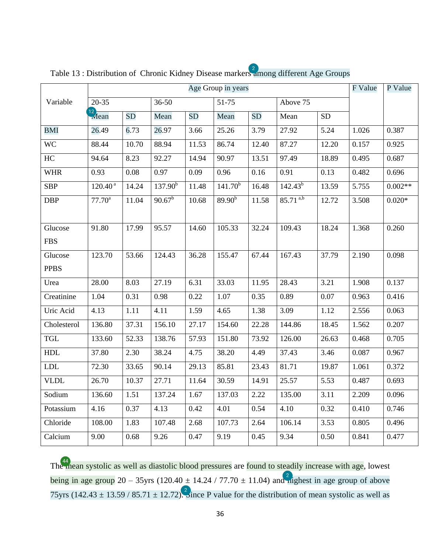|             |                                 | Age Group in years |                 |           |                     |           |                        | F Value   | P Value |           |
|-------------|---------------------------------|--------------------|-----------------|-----------|---------------------|-----------|------------------------|-----------|---------|-----------|
| Variable    | $20 - 35$                       |                    | $36 - 50$       |           | 51-75               |           | Above 75               |           |         |           |
|             | $\frac{12}{\sqrt{\tan \theta}}$ | <b>SD</b>          | Mean            | <b>SD</b> | Mean                | <b>SD</b> | Mean                   | <b>SD</b> |         |           |
| <b>BMI</b>  | 26.49                           | 6.73               | 26.97           | 3.66      | 25.26               | 3.79      | 27.92                  | 5.24      | 1.026   | 0.387     |
| <b>WC</b>   | 88.44                           | 10.70              | 88.94           | 11.53     | 86.74               | 12.40     | 87.27                  | 12.20     | 0.157   | 0.925     |
| HC          | 94.64                           | 8.23               | 92.27           | 14.94     | 90.97               | 13.51     | 97.49                  | 18.89     | 0.495   | 0.687     |
| <b>WHR</b>  | 0.93                            | 0.08               | 0.97            | 0.09      | 0.96                | 0.16      | 0.91                   | 0.13      | 0.482   | 0.696     |
| <b>SBP</b>  | $120.40^{\text{ a}}$            | 14.24              | $137.90^{b}$    | 11.48     | 141.70 <sup>b</sup> | 16.48     | $142.43^{b}$           | 13.59     | 5.755   | $0.002**$ |
| <b>DBP</b>  | $77.70^{\rm a}$                 | 11.04              | $90.67^{\rm b}$ | 10.68     | $89.90^{b}$         | 11.58     | $85.71$ <sup>a,b</sup> | 12.72     | 3.508   | $0.020*$  |
|             |                                 |                    |                 |           |                     |           |                        |           |         |           |
| Glucose     | 91.80                           | 17.99              | 95.57           | 14.60     | 105.33              | 32.24     | 109.43                 | 18.24     | 1.368   | 0.260     |
| <b>FBS</b>  |                                 |                    |                 |           |                     |           |                        |           |         |           |
| Glucose     | 123.70                          | 53.66              | 124.43          | 36.28     | 155.47              | 67.44     | 167.43                 | 37.79     | 2.190   | 0.098     |
| <b>PPBS</b> |                                 |                    |                 |           |                     |           |                        |           |         |           |
| Urea        | 28.00                           | 8.03               | 27.19           | 6.31      | 33.03               | 11.95     | 28.43                  | 3.21      | 1.908   | 0.137     |
| Creatinine  | 1.04                            | 0.31               | 0.98            | 0.22      | 1.07                | 0.35      | 0.89                   | $0.07\,$  | 0.963   | 0.416     |
| Uric Acid   | 4.13                            | 1.11               | 4.11            | 1.59      | 4.65                | 1.38      | 3.09                   | 1.12      | 2.556   | 0.063     |
| Cholesterol | 136.80                          | 37.31              | 156.10          | 27.17     | 154.60              | 22.28     | 144.86                 | 18.45     | 1.562   | 0.207     |
| <b>TGL</b>  | 133.60                          | 52.33              | 138.76          | 57.93     | 151.80              | 73.92     | 126.00                 | 26.63     | 0.468   | 0.705     |
| <b>HDL</b>  | 37.80                           | 2.30               | 38.24           | 4.75      | 38.20               | 4.49      | 37.43                  | 3.46      | 0.087   | 0.967     |
| ${\rm LDL}$ | 72.30                           | 33.65              | 90.14           | 29.13     | 85.81               | 23.43     | 81.71                  | 19.87     | 1.061   | 0.372     |
| <b>VLDL</b> | 26.70                           | 10.37              | 27.71           | 11.64     | 30.59               | 14.91     | 25.57                  | 5.53      | 0.487   | 0.693     |
| Sodium      | 136.60                          | 1.51               | 137.24          | 1.67      | 137.03              | 2.22      | 135.00                 | 3.11      | 2.209   | 0.096     |
| Potassium   | 4.16                            | 0.37               | 4.13            | 0.42      | 4.01                | 0.54      | 4.10                   | 0.32      | 0.410   | 0.746     |
| Chloride    | 108.00                          | 1.83               | 107.48          | 2.68      | 107.73              | 2.64      | 106.14                 | 3.53      | 0.805   | 0.496     |
| Calcium     | 9.00                            | 0.68               | 9.26            | 0.47      | 9.19                | 0.45      | 9.34                   | 0.50      | 0.841   | 0.477     |

<span id="page-36-0"></span>Table 13 : Distribution of Chronic Kidney Disease marker[s am](#page-60-0)ong different Age Groups

Th[e m](#page-63-0)ean systolic as well as diastolic blood pressures are found to steadily increase with age, lowest being in age group 20 – 35 yrs (120.40  $\pm$  14.24 / 77.70  $\pm$  11.04) and  $\frac{2}{\text{u}}$  ghest in age group of above 75yrs (142.43  $\pm$  13.59 / 85.71  $\pm$  12.72[\). Si](#page-60-0)nce P value for the distribution of mean systolic as well as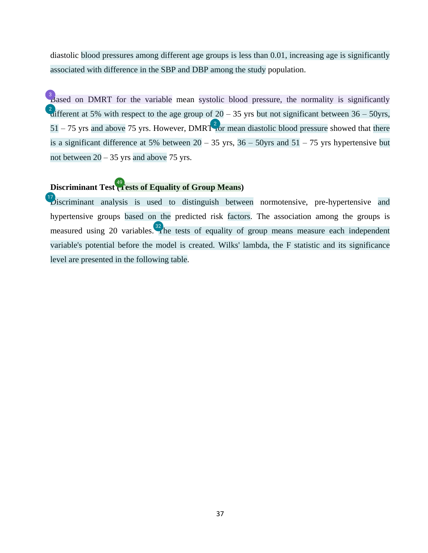<span id="page-37-0"></span>diastolic blood pressures among different age groups is less than 0.01, increasing age is significantly associated with difference in the SBP and DBP among the study population.

 $\beta$  ased on DMRT for the variable mean systolic blood pressure, the normality is significantly [di](#page-60-0)fferent at 5% with respect to the age group of  $20 - 35$  yrs but not significant between  $36 - 50$ yrs,  $51 - 75$  yrs and above 75 yrs. However, DMRT [fo](#page-60-0)r mean diastolic blood pressure showed that there is a significant difference at 5% between  $20 - 35$  yrs,  $36 - 50$ yrs and  $51 - 75$  yrs hypertensive but not between  $20 - 35$  yrs and above 75 yrs.

### **Discriminant Test** (Tests of Equality of Group Means)

 $\mathcal{D}$ iscriminant analysis is used to distinguish between normotensive, pre-hypertensive and hypertensive groups based on the predicted risk factors. The association among the groups is measured using 20 variables[. Th](#page-62-0)e tests of equality of group means measure each independent variable's potential before the model is created. Wilks' lambda, the F statistic and its significance level are presented in the following table.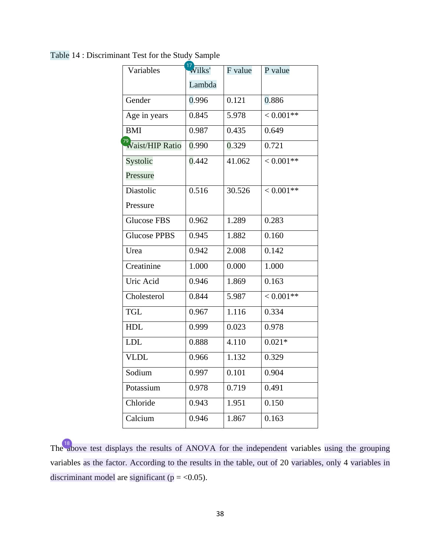| Variables                     |        |         |             |
|-------------------------------|--------|---------|-------------|
|                               | Wilks' | F value | P value     |
|                               | Lambda |         |             |
| Gender                        | 0.996  | 0.121   | 0.886       |
| Age in years                  | 0.845  | 5.978   | $< 0.001**$ |
| <b>BMI</b>                    | 0.987  | 0.435   | 0.649       |
| <sup>79</sup> Vaist/HIP Ratio | 0.990  | 0.329   | 0.721       |
| Systolic                      | 0.442  | 41.062  | $< 0.001**$ |
| Pressure                      |        |         |             |
| Diastolic                     | 0.516  | 30.526  | $< 0.001**$ |
| Pressure                      |        |         |             |
| Glucose FBS                   | 0.962  | 1.289   | 0.283       |
| <b>Glucose PPBS</b>           | 0.945  | 1.882   | 0.160       |
| Urea                          | 0.942  | 2.008   | 0.142       |
| Creatinine                    | 1.000  | 0.000   | 1.000       |
| Uric Acid                     | 0.946  | 1.869   | 0.163       |
| Cholesterol                   | 0.844  | 5.987   | $< 0.001**$ |
| <b>TGL</b>                    | 0.967  | 1.116   | 0.334       |
| <b>HDL</b>                    | 0.999  | 0.023   | 0.978       |
| <b>LDL</b>                    | 0.888  | 4.110   | $0.021*$    |
| <b>VLDL</b>                   | 0.966  | 1.132   | 0.329       |
| Sodium                        | 0.997  | 0.101   | 0.904       |
| Potassium                     | 0.978  | 0.719   | 0.491       |
| Chloride                      | 0.943  | 1.951   | 0.150       |
| Calcium                       | 0.946  | 1.867   | 0.163       |

<span id="page-38-0"></span>Table 14 : Discriminant Test for the Study Sample

Th[e ab](#page-61-0)ove test displays the results of ANOVA for the independent variables using the grouping variables as the factor. According to the results in the table, out of 20 variables, only 4 variables in discriminant model are significant ( $p = <0.05$ ).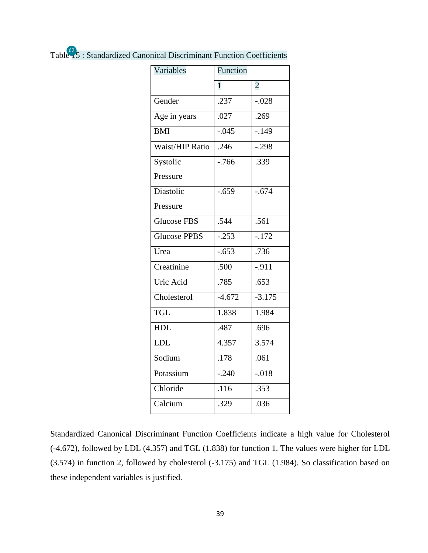<span id="page-39-0"></span>

| Table 15: Standardized Canonical Discriminant Function Coefficients |  |
|---------------------------------------------------------------------|--|
|                                                                     |  |

| Variables              | Function     |                |
|------------------------|--------------|----------------|
|                        | $\mathbf{1}$ | $\overline{2}$ |
| Gender                 | .237         | $-.028$        |
| Age in years           | .027         | .269           |
| <b>BMI</b>             | $-0.045$     | $-149$         |
| <b>Waist/HIP Ratio</b> | .246         | $-.298$        |
| Systolic               | $-766$       | .339           |
| Pressure               |              |                |
| Diastolic              | $-.659$      | $-.674$        |
| Pressure               |              |                |
| <b>Glucose FBS</b>     | .544         | .561           |
| <b>Glucose PPBS</b>    | $-0.253$     | $-.172$        |
| Urea                   | $-653$       | .736           |
| Creatinine             | .500         | $-.911$        |
| Uric Acid              | .785         | .653           |
| Cholesterol            | $-4.672$     | $-3.175$       |
| <b>TGL</b>             | 1.838        | 1.984          |
| <b>HDL</b>             | .487         | .696           |
| <b>LDL</b>             | 4.357        | 3.574          |
| Sodium                 | .178         | .061           |
| Potassium              | $-.240$      | $-.018$        |
| Chloride               | .116         | .353           |
| Calcium                | .329         | .036           |
|                        |              |                |

Standardized Canonical Discriminant Function Coefficients indicate a high value for Cholesterol (-4.672), followed by LDL (4.357) and TGL (1.838) for function 1. The values were higher for LDL (3.574) in function 2, followed by cholesterol (-3.175) and TGL (1.984). So classification based on these independent variables is justified.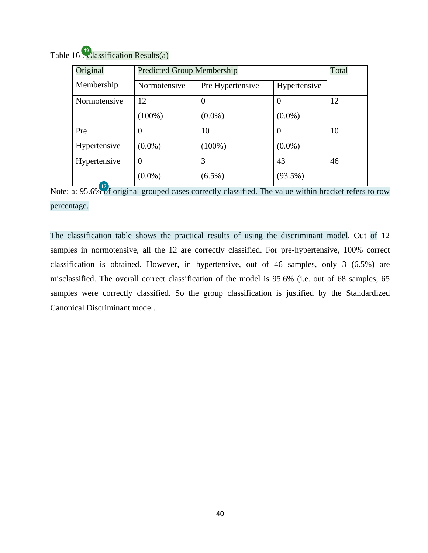| Original     | <b>Predicted Group Membership</b> |                  |              | Total |
|--------------|-----------------------------------|------------------|--------------|-------|
| Membership   | Normotensive                      | Pre Hypertensive | Hypertensive |       |
| Normotensive | 12                                | $\theta$         | $\theta$     | 12    |
|              | $(100\%)$                         | $(0.0\%)$        | $(0.0\%)$    |       |
| Pre          |                                   | 10               | $\Omega$     | 10    |
| Hypertensive | $(0.0\%)$                         | $(100\%)$        | $(0.0\%)$    |       |
| Hypertensive | 0                                 | 3                | 43           | 46    |
|              | $(0.0\%)$                         | $(6.5\%)$        | $(93.5\%)$   |       |

Table 16 [: C](#page-64-0)lassification Results(a)

Note: a: 95.6[% of](#page-61-0) original grouped cases correctly classified. The value within bracket refers to row percentage.

The classification table shows the practical results of using the discriminant model. Out of 12 samples in normotensive, all the 12 are correctly classified. For pre-hypertensive, 100% correct classification is obtained. However, in hypertensive, out of 46 samples, only 3 (6.5%) are misclassified. The overall correct classification of the model is 95.6% (i.e. out of 68 samples, 65 samples were correctly classified. So the group classification is justified by the Standardized Canonical Discriminant model.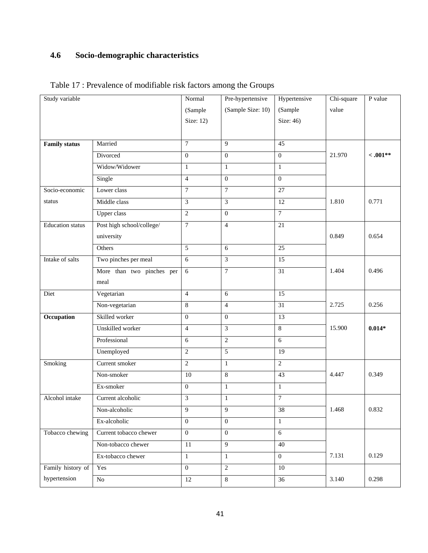## **4.6 Socio-demographic characteristics**

| Study variable          |                           | Normal           | Pre-hypertensive  | Hypertensive    | Chi-square | P value   |
|-------------------------|---------------------------|------------------|-------------------|-----------------|------------|-----------|
|                         |                           | (Sample          | (Sample Size: 10) | (Sample         | value      |           |
|                         |                           | Size: 12)        |                   | Size: 46)       |            |           |
|                         |                           |                  |                   |                 |            |           |
| <b>Family status</b>    | Married                   | $\overline{7}$   | 9                 | 45              |            |           |
|                         | Divorced                  | $\mathbf{0}$     | $\mathbf{0}$      | $\Omega$        | 21.970     | $-.001**$ |
|                         | Widow/Widower             | $\mathbf{1}$     | $\mathbf{1}$      | $\mathbf{1}$    |            |           |
|                         | Single                    | $\overline{4}$   | $\boldsymbol{0}$  | $\overline{0}$  |            |           |
| Socio-economic          | Lower class               | $\tau$           | $\boldsymbol{7}$  | 27              |            |           |
| status                  | Middle class              | 3                | 3                 | 12              | 1.810      | 0.771     |
|                         | <b>Upper class</b>        | $\overline{2}$   | $\mathbf{0}$      | $\overline{7}$  |            |           |
| <b>Education</b> status | Post high school/college/ | $\boldsymbol{7}$ | $\overline{4}$    | $\overline{21}$ |            |           |
|                         | university                |                  |                   |                 | 0.849      | 0.654     |
|                         | Others                    | $\overline{5}$   | 6                 | $\overline{25}$ |            |           |
| Intake of salts         | Two pinches per meal      | 6                | 3                 | $\overline{15}$ |            |           |
|                         | More than two pinches per | 6                | $\tau$            | 31              | 1.404      | 0.496     |
|                         | meal                      |                  |                   |                 |            |           |
| Diet                    | Vegetarian                | $\overline{4}$   | 6                 | $\overline{15}$ |            |           |
|                         | Non-vegetarian            | 8                | $\overline{4}$    | 31              | 2.725      | 0.256     |
| Occupation              | Skilled worker            | $\boldsymbol{0}$ | $\mathbf{0}$      | 13              |            |           |
|                         | Unskilled worker          | $\overline{4}$   | 3                 | $\overline{8}$  | 15.900     | $0.014*$  |
|                         | Professional              | 6                | $\overline{c}$    | $\overline{6}$  |            |           |
|                         | Unemployed                | $\mathbf{2}$     | 5                 | $\overline{19}$ |            |           |
| Smoking                 | Current smoker            | $\mathbf{2}$     | $\mathbf{1}$      | $\overline{2}$  |            |           |
|                         | Non-smoker                | 10               | $\,8\,$           | $\overline{43}$ | 4.447      | 0.349     |
|                         | Ex-smoker                 | $\mathbf{0}$     | $\mathbf{1}$      | $\mathbf{1}$    |            |           |
| Alcohol intake          | Current alcoholic         | 3                | $\mathbf{1}$      | $\overline{7}$  |            |           |
|                         | Non-alcoholic             | 9                | 9                 | 38              | 1.468      | 0.832     |
|                         | Ex-alcoholic              | $\overline{0}$   | $\overline{0}$    | $\mathbf{1}$    |            |           |
| Tobacco chewing         | Current tobacco chewer    | $\mathbf{0}$     | $\overline{0}$    | 6               |            |           |
|                         | Non-tobacco chewer        | 11               | 9                 | 40              |            |           |
|                         | Ex-tobacco chewer         | $\mathbf{1}$     | $\mathbf{1}$      | $\mathbf{0}$    | 7.131      | 0.129     |
| Family history of       | Yes                       | $\boldsymbol{0}$ | $\overline{2}$    | 10              |            |           |
| hypertension            | ${\rm No}$                | 12               | 8                 | 36              | 3.140      | 0.298     |

Table 17 : Prevalence of modifiable risk factors among the Groups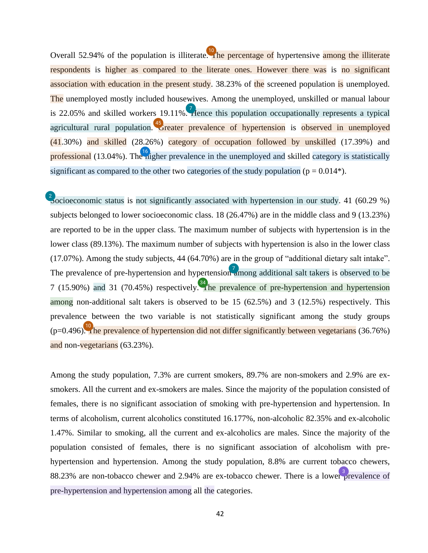<span id="page-42-0"></span>Overall 52.94% of the population is illiterat[e. Th](#page-61-0)e percentage of hypertensive among the illiterate respondents is higher as compared to the literate ones. However there was is no significant association with education in the present study. 38.23% of the screened population is unemployed. The unemployed mostly included housewives. Among the unemployed, unskilled or manual labour is 22.05% and skilled workers 19.11%[. H](#page-60-0)ence this population occupationally represents a typical agricultural rural population. <sup>45</sup> reater prevalence of hypertension is observed in unemployed  $(41.30%)$  and skilled  $(28.26%)$  category of occupation followed by unskilled  $(17.39%)$  and professional (13.04%). Th[e hi](#page-61-0)gher prevalence in the unemployed and skilled category is statistically significant as compared to the other two categories of the study population ( $p = 0.014$ <sup>\*</sup>).

 $\frac{2}{10}$  ocioeconomic status is not significantly associated with hypertension in our study. 41 (60.29 %) subjects belonged to lower socioeconomic class. 18 (26.47%) are in the middle class and 9 (13.23%) are reported to be in the upper class. The maximum number of subjects with hypertension is in the lower class (89.13%). The maximum number of subjects with hypertension is also in the lower class (17.07%). Among the study subjects, 44 (64.70%) are in the group of "additional dietary salt intake". The prevalence of pre-hypertension and hypertensio[n am](#page-60-0)ong additional salt takers is observed to be 7 (15.90%) and 31 (70.45%) respectively[. T](#page-63-0)he prevalence of pre-hypertension and hypertension among non-additional salt takers is observed to be 15 (62.5%) and 3 (12.5%) respectively. This prevalence between the two variable is not statistically significant among the study groups  $(p=0.496)$ . The prevalence of hypertension did not differ significantly between vegetarians (36.76%) and non-vegetarians (63.23%).

Among the study population, 7.3% are current smokers, 89.7% are non-smokers and 2.9% are exsmokers. All the current and ex-smokers are males. Since the majority of the population consisted of females, there is no significant association of smoking with pre-hypertension and hypertension. In terms of alcoholism, current alcoholics constituted 16.177%, non-alcoholic 82.35% and ex-alcoholic 1.47%. Similar to smoking, all the current and ex-alcoholics are males. Since the majority of the population consisted of females, there is no significant association of alcoholism with prehypertension and hypertension. Among the study population, 8.8% are current tobacco chewers, 88.23% are non-tobacco chewer and 2.94% are ex-tobacco chewer. There is a lowe[r pr](#page-60-0)evalence of pre-hypertension and hypertension among all the categories.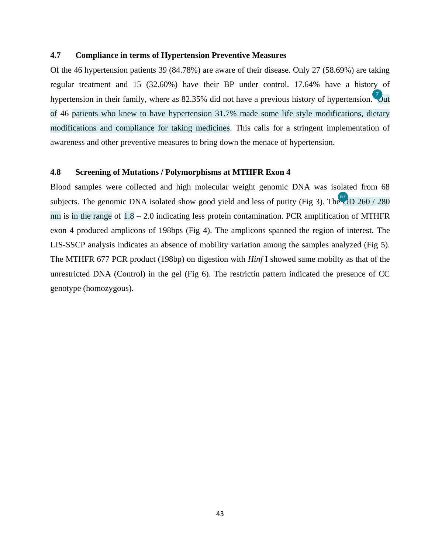#### <span id="page-43-0"></span>**4.7 Compliance in terms of Hypertension Preventive Measures**

Of the 46 hypertension patients 39 (84.78%) are aware of their disease. Only 27 (58.69%) are taking regular treatment and 15 (32.60%) have their BP under control. 17.64% have a history of hypertension in their family, where as 82.35% did not have a previous history of hypertension[. O](#page-60-0)ut of 46 patients who knew to have hypertension 31.7% made some life style modifications, dietary modifications and compliance for taking medicines. This calls for a stringent implementation of awareness and other preventive measures to bring down the menace of hypertension.

#### **4.8 Screening of Mutations / Polymorphisms at MTHFR Exon 4**

Blood samples were collected and high molecular weight genomic DNA was isolated from 68 subjects. The genomic DNA isolated show good yield and less of purity (Fig 3). The  $\overline{OD}$  260 / 280 nm is in the range of  $1.8 - 2.0$  indicating less protein contamination. PCR amplification of MTHFR exon 4 produced amplicons of 198bps (Fig 4). The amplicons spanned the region of interest. The LIS-SSCP analysis indicates an absence of mobility variation among the samples analyzed (Fig 5). The MTHFR 677 PCR product (198bp) on digestion with *Hinf* I showed same mobilty as that of the unrestricted DNA (Control) in the gel (Fig 6). The restrictin pattern indicated the presence of CC genotype (homozygous).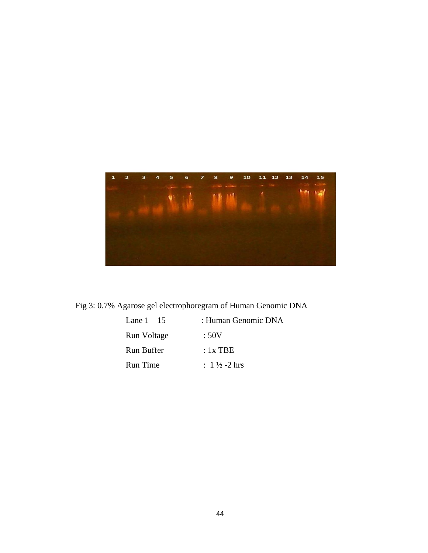

Fig 3: 0.7% Agarose gel electrophoregram of Human Genomic DNA

| Lane $1 - 15$   | : Human Genomic DNA     |
|-----------------|-------------------------|
| Run Voltage     | :50V                    |
| Run Buffer      | : 1x TBE                |
| <b>Run</b> Time | : $1\frac{1}{2}$ -2 hrs |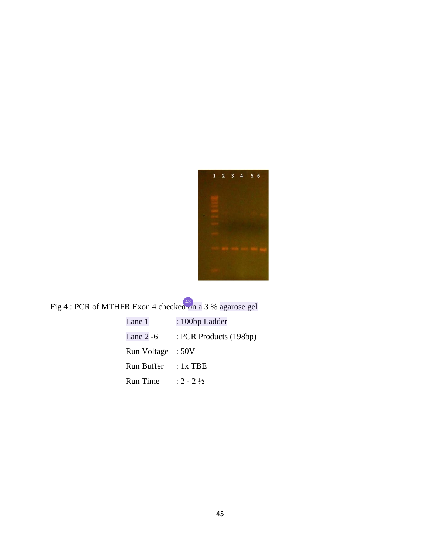<span id="page-45-0"></span>

## Fig 4 : PCR of MTHFR Exon 4 checke[d on](#page-63-0) a 3 % agarose gel

| Lane 1      | : 100bp Ladder         |
|-------------|------------------------|
| Lane $2-6$  | : PCR Products (198bp) |
| Run Voltage | :50V                   |
| Run Buffer  | $: 1x$ TBE             |
| Run Time    | $: 2 - 2\frac{1}{2}$   |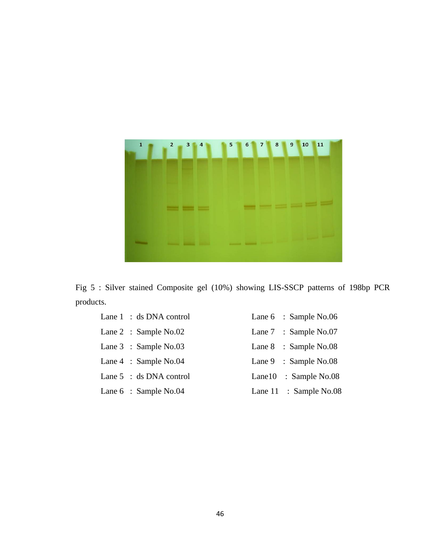

Fig 5 : Silver stained Composite gel (10%) showing LIS-SSCP patterns of 198bp PCR products.

| Lane $1 : ds$ DNA control         | Lane 6 : Sample No.06         |
|-----------------------------------|-------------------------------|
| Lane $2$ : Sample No.02           | Lane $7 \cdot$ : Sample No.07 |
| Lane $3$ : Sample No.03           | Lane $8$ : Sample No.08       |
| Lane $4$ : Sample No.04           | Lane 9 : Sample No.08         |
| Lane $5 : ds$ DNA control         | Lane $10$ : Sample No.08      |
| Lane $6 \div \text{Sample No.04}$ | Lane $11$ : Sample No.08      |
|                                   |                               |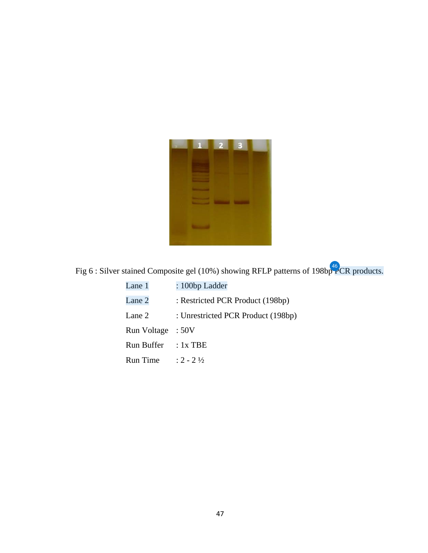

Fig 6 : Silver stained Composite gel (10%) showing RFLP patterns of 198bp  $PCR$  products.

| Lane 1             | : 100bp Ladder                     |
|--------------------|------------------------------------|
| Lane 2             | : Restricted PCR Product (198bp)   |
| Lane 2             | : Unrestricted PCR Product (198bp) |
| <b>Run Voltage</b> | :50V                               |
| Run Buffer         | $: 1x$ TBE                         |
| <b>Run</b> Time    | $: 2 - 2\frac{1}{2}$               |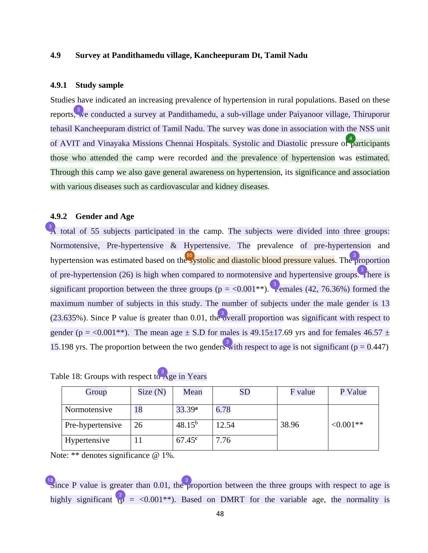#### <span id="page-48-0"></span>**4.9 Survey at Pandithamedu village, Kancheepuram Dt, Tamil Nadu**

#### **4.9.1 Study sample**

Studies have indicated an increasing prevalence of hypertension in rural populations. Based on these report[s, w](#page-60-0)e conducted a survey at Pandithamedu, a sub-village under Paiyanoor village, Thiruporur tehasil Kancheepuram district of Tamil Nadu. The survey was done in association with the NSS unit of AVIT and Vinayaka Missions Chennai Hospitals. Systolic and Diastolic pressure o[f pa](#page-60-0)rticipants those who attended the camp were recorded and the prevalence of hypertension was estimated. Through this camp we also gave general awareness on hypertension, its significance and association with various diseases such as cardiovascular and kidney diseases.

#### **4.9.2 Gender and Age**

 $\frac{3}{2}$  total of 55 subjects participated in the camp. The subjects were divided into three groups: Normotensive, Pre-hypertensive & Hypertensive. The prevalence of pre-hypertension and hypertension was estimated based on th[e sy](#page-67-0)stolic and diastolic blood pressure values. Th[e pr](#page-60-0)oportion of pre-hypertension (26) is high when compared to normotensive and hypertensive group[s. Th](#page-60-0)ere is significant proportion between the three groups ( $p = <0.001^{**}$ ). [Fe](#page-60-0)males (42, 76.36%) formed the maximum number of subjects in this study. The number of subjects under the male gender is 13  $(23.635\%)$ . Since P value is greater than 0.01, th[e ov](#page-60-0)erall proportion was significant with respect to gender (p = <0.001\*\*). The mean age  $\pm$  S.D for males is 49.15 $\pm$ 17.69 yrs and for females 46.57  $\pm$ 15.198 yrs. The proportion between the two gende[rs w](#page-60-0)ith respect to age is not significant ( $p = 0.447$ )

| Group            | Size(N) | Mean               | ${\rm SD}$ | F value | P Value    |
|------------------|---------|--------------------|------------|---------|------------|
| Normotensive     | 18      | 33.39 <sup>a</sup> | 6.78       |         |            |
| Pre-hypertensive | 26      | $48.15^{b}$        | 12.54      | 38.96   | $<0.001**$ |
| Hypertensive     |         | $67.45^{\rm c}$    | 7.76       |         |            |

| Table 18: Groups with respect to Age in Years |  |  |  |
|-----------------------------------------------|--|--|--|

Note: \*\* denotes significance @ 1%.

<sup>18</sup>/<sub>2</sub> ince P value is greater than 0.01, th[e pr](#page-60-0)oportion between the three groups with respect to age is highly significant  $\begin{pmatrix} 3 \\ p \end{pmatrix}$  = <0.001<sup>\*</sup>). Based on DMRT for the variable age, the normality is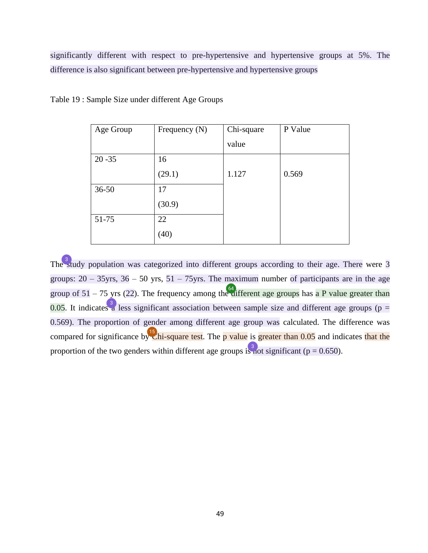<span id="page-49-0"></span>significantly different with respect to pre-hypertensive and hypertensive groups at 5%. The difference is also significant between pre-hypertensive and hypertensive groups

| Age Group | Frequency $(N)$ | Chi-square | P Value |
|-----------|-----------------|------------|---------|
|           |                 | value      |         |
| $20 - 35$ | 16              |            |         |
|           | (29.1)          | 1.127      | 0.569   |
| $36 - 50$ | 17              |            |         |
|           | (30.9)          |            |         |
| 51-75     | 22              |            |         |
|           | (40)            |            |         |

Table 19 : Sample Size under different Age Groups

Th[e st](#page-60-0)udy population was categorized into different groups according to their age. There were  $\overline{3}$ groups:  $20 - 35$ yrs,  $36 - 50$  yrs,  $51 - 75$ yrs. The maximum number of participants are in the age group of  $51 - 75$  yrs (22). The frequency among th[e di](#page-65-0)fferent age groups has a P value greater than 0.05. It indicates  $\frac{3}{4}$  less significant association between sample size and different age groups (p = 0.569). The proportion of gender among different age group was calculated. The difference was compared for significance b[y C](#page-61-0)hi-square test. The p value is greater than  $0.05$  and indicates that the proportion of the two genders within different age groups [is no](#page-60-0)t significant ( $p = 0.650$ ).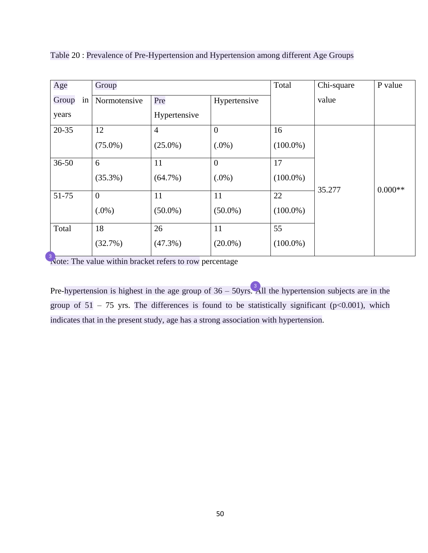| Age         | Group          |                |                | Total       | Chi-square | P value   |
|-------------|----------------|----------------|----------------|-------------|------------|-----------|
| Group<br>in | Normotensive   | Pre            | Hypertensive   |             | value      |           |
| years       |                | Hypertensive   |                |             |            |           |
| $20 - 35$   | 12             | $\overline{4}$ | $\overline{0}$ | 16          |            |           |
|             | $(75.0\%)$     | $(25.0\%)$     | $(.0\%)$       | $(100.0\%)$ |            |           |
| $36 - 50$   | 6              | 11             | $\mathbf{0}$   | 17          |            |           |
|             | $(35.3\%)$     | $(64.7\%)$     | $(.0\%)$       | $(100.0\%)$ | 35.277     | $0.000**$ |
| 51-75       | $\overline{0}$ | 11             | 11             | 22          |            |           |
|             | $(.0\%)$       | $(50.0\%)$     | $(50.0\%)$     | $(100.0\%)$ |            |           |
| Total       | 18             | 26             | 11             | 55          |            |           |
|             | (32.7%)        | $(47.3\%)$     | $(20.0\%)$     | $(100.0\%)$ |            |           |

Table 20 : Prevalence of Pre-Hypertension and Hypertension among different Age Groups

[N](#page-60-0)ote: The value within bracket refers to row percentage

Pre-hypertension is highest in the age group of  $36 - 50$ yr[s. A](#page-60-0)ll the hypertension subjects are in the group of  $51 - 75$  yrs. The differences is found to be statistically significant (p<0.001), which indicates that in the present study, age has a strong association with hypertension.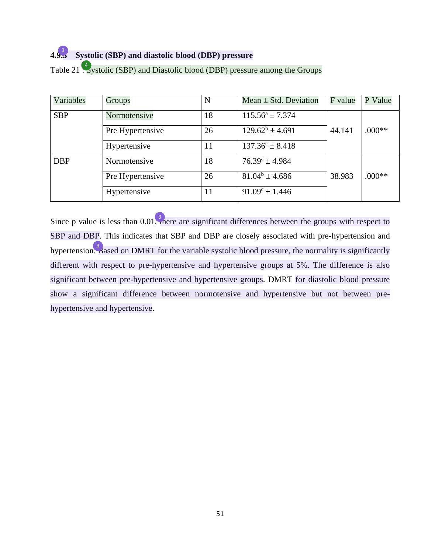## **4.[9.3](#page-60-0) Systolic (SBP) and diastolic blood (DBP) pressure**  3

| Variables  | Groups           | N  | Mean $\pm$ Std. Deviation  | F value | P Value  |
|------------|------------------|----|----------------------------|---------|----------|
| <b>SBP</b> | Normotensive     | 18 | $115.56^a \pm 7.374$       |         |          |
|            | Pre Hypertensive | 26 | $129.62^b \pm 4.691$       | 44.141  | $.000**$ |
|            | Hypertensive     | 11 | $137.36^{\circ} \pm 8.418$ |         |          |
| <b>DBP</b> | Normotensive     | 18 | $76.39^a \pm 4.984$        |         |          |
|            | Pre Hypertensive | 26 | $81.04^b \pm 4.686$        | 38.983  | $.000**$ |
|            | Hypertensive     | 11 | $91.09^{\circ} \pm 1.446$  |         |          |

## Table 21 [: Sy](#page-60-0)stolic (SBP) and Diastolic blood (DBP) pressure among the Groups

Since p value is less than  $0.01$ [, th](#page-60-0)ere are significant differences between the groups with respect to SBP and DBP. This indicates that SBP and DBP are closely associated with pre-hypertension and hypertensio[n. B](#page-60-0)ased on DMRT for the variable systolic blood pressure, the normality is significantly different with respect to pre-hypertensive and hypertensive groups at 5%. The difference is also significant between pre-hypertensive and hypertensive groups. DMRT for diastolic blood pressure show a significant difference between normotensive and hypertensive but not between prehypertensive and hypertensive.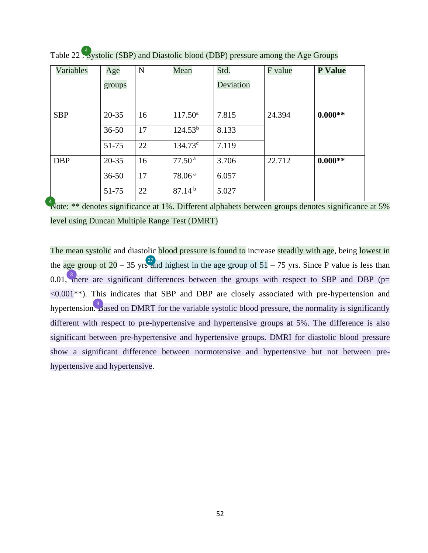| Variables  | Age       | ${\bf N}$ | Mean               | Std.      | F value | <b>P</b> Value |
|------------|-----------|-----------|--------------------|-----------|---------|----------------|
|            | groups    |           |                    | Deviation |         |                |
|            |           |           |                    |           |         |                |
| <b>SBP</b> | $20 - 35$ | 16        | $117.50^{\circ}$   | 7.815     | 24.394  | $0.000**$      |
|            | $36 - 50$ | 17        | $124.53^{b}$       | 8.133     |         |                |
|            | 51-75     | 22        | $134.73^{\circ}$   | 7.119     |         |                |
| <b>DBP</b> | $20 - 35$ | 16        | 77.50 <sup>a</sup> | 3.706     | 22.712  | $0.000**$      |
|            | $36 - 50$ | 17        | 78.06 <sup>a</sup> | 6.057     |         |                |
|            | 51-75     | 22        | $87.14^{b}$        | 5.027     |         |                |

Table 22 [: Sy](#page-60-0)stolic (SBP) and Diastolic blood (DBP) pressure among the Age Groups

[N](#page-60-0)ote: \*\* denotes significance at 1%. Different alphabets between groups denotes significance at 5% level using Duncan Multiple Range Test (DMRT)

The mean systolic and diastolic blood pressure is found to increase steadily with age, being lowest in the age group of 20 – 35 yr[s an](#page-62-0)d highest in the age group of  $51 - 75$  yrs. Since P value is less than 0.01[, th](#page-60-0)ere are significant differences between the groups with respect to SBP and DBP ( $p=$  $\leq 0.001$ \*\*). This indicates that SBP and DBP are closely associated with pre-hypertension and hypertensio[n. B](#page-60-0)ased on DMRT for the variable systolic blood pressure, the normality is significantly different with respect to pre-hypertensive and hypertensive groups at 5%. The difference is also significant between pre-hypertensive and hypertensive groups. DMRI for diastolic blood pressure show a significant difference between normotensive and hypertensive but not between prehypertensive and hypertensive.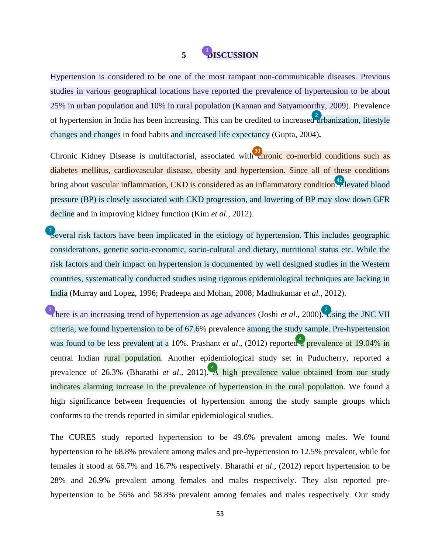## 5 **[D](#page-60-0)ISCUSSION**

<span id="page-53-0"></span>Hypertension is considered to be one of the most rampant non-communicable diseases. Previous studies in various geographical locations have reported the prevalence of hypertension to be about 25% in urban population and 10% in rural population (Kannan and Satyamoorthy, 2009). Prevalence of hypertension in India has been increasing. This can be credited to increased arbanization, lifestyle changes and changes in food habits and increased life expectancy (Gupta, 2004)**.** 

Chronic Kidney Disease is multifactorial, associated wit[h ch](#page-62-0)ronic co-morbid conditions such as diabetes mellitus, cardiovascular disease, obesity and hypertension. Since all of these conditions bring about vascular inflammation, CKD is considered as an inflammatory condition. Elevated blood pressure (BP) is closely associated with CKD progression, and lowering of BP may slow down GFR decline and in improving kidney function (Kim *et al.,* 2012).

[Se](#page-60-0)veral risk factors have been implicated in the etiology of hypertension. This includes geographic considerations, genetic socio-economic, socio-cultural and dietary, nutritional status etc. While the risk factors and their impact on hypertension is documented by well designed studies in the Western countries, systematically conducted studies using rigorous epidemiological techniques are lacking in India (Murray and Lopez, 1996; Pradeepa and Mohan, 2008; Madhukumar *et al.,* 2012).

[T](#page-60-0)here is an increasing trend of hypertension as age advances (Joshi *et al.*, 2000[\). U](#page-60-0)sing the JNC VII criteria, we found hypertension to be of 67.6% prevalence among the study sample. Pre-hypertension was found to be less prevalent at a 10%. Prashant *et al.*, (2012) reporte[d a](#page-60-0) prevalence of 19.04% in central Indian rural population. Another epidemiological study set in Puducherry, reported a prevalence of 26.3% (Bharathi *et al.*, 2012)[. A](#page-60-0) high prevalence value obtained from our study indicates alarming increase in the prevalence of hypertension in the rural population. We found a high significance between frequencies of hypertension among the study sample groups which conforms to the trends reported in similar epidemiological studies.

The CURES study reported hypertension to be 49.6% prevalent among males. We found hypertension to be 68.8% prevalent among males and pre-hypertension to 12.5% prevalent, while for females it stood at 66.7% and 16.7% respectively. Bharathi *et al*., (2012) report hypertension to be 28% and 26.9% prevalent among females and males respectively. They also reported prehypertension to be 56% and 58.8% prevalent among females and males respectively. Our study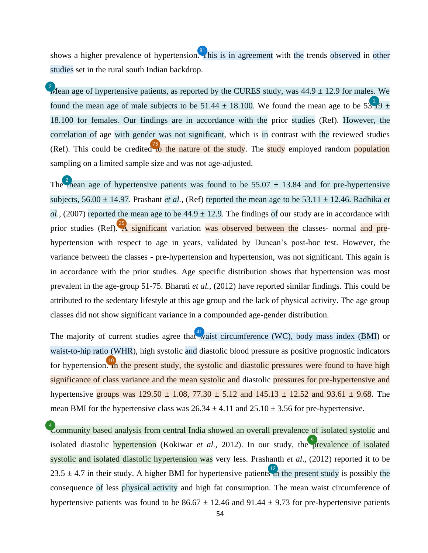<span id="page-54-0"></span>shows a higher prevalence of hypertensio[n. Th](#page-66-0)is is in agreement with the trends observed in other studies set in the rural south Indian backdrop.

 $\frac{2}{3}$  [M](#page-60-0)ean age of hypertensive patients, as reported by the CURES study, was 44.9  $\pm$  12.9 for males. We found the mean age of male subjects to be 51.44  $\pm$  18.100. We found the mean age to be  $5\frac{2}{3}$ . 18.100 for females. Our findings are in accordance with the prior studies (Ref). However, the correlation of age with gender was not significant, which is in contrast with the reviewed studies (Ref). This could be credite[d to](#page-66-0) the nature of the study. The study employed random population sampling on a limited sample size and was not age-adjusted.

Th[e m](#page-60-0)ean age of hypertensive patients was found to be 55.07  $\pm$  13.84 and for pre-hypertensive subjects, 56.00 ± 14.97. Prashant *et al.,* (Ref) reported the mean age to be 53.11 ± 12.46. Radhika *et al.*, (2007) reported the mean age to be  $44.9 \pm 12.9$ . The findings of our study are in accordance with prior studies (Ref)[. A](#page-62-0) significant variation was observed between the classes- normal and prehypertension with respect to age in years, validated by Duncan's post-hoc test. However, the variance between the classes - pre-hypertension and hypertension, was not significant. This again is in accordance with the prior studies. Age specific distribution shows that hypertension was most prevalent in the age-group 51-75. Bharati *et al.,* (2012) have reported similar findings. This could be attributed to the sedentary lifestyle at this age group and the lack of physical activity. The age group classes did not show significant variance in a compounded age-gender distribution.

The majority of current studies agree tha[t w](#page-63-0)aist circumference (WC), body mass index (BMI) or waist-to-hip ratio (WHR), high systolic and diastolic blood pressure as positive prognostic indicators for hypertensio[n. In](#page-61-0) the present study, the systolic and diastolic pressures were found to have high significance of class variance and the mean systolic and diastolic pressures for pre-hypertensive and hypertensive groups was  $129.50 \pm 1.08$ ,  $77.30 \pm 5.12$  and  $145.13 \pm 12.52$  and  $93.61 \pm 9.68$ . The mean BMI for the hypertensive class was  $26.34 \pm 4.11$  and  $25.10 \pm 3.56$  for pre-hypertensive.

<sup>4</sup> community based analysis from central India showed an overall prevalence of isolated systolic and isolated diastolic hypertension (Kokiwar *et al.*, 2012). In our study, th[e pr](#page-60-0)evalence of isolated systolic and isolated diastolic hypertension was very less. Prashanth *et al*., (2012) reported it to be 23.5  $\pm$  4.7 in their study. A higher BMI for hypertensive patients in the present study is possibly the consequence of less physical activity and high fat consumption. The mean waist circumference of hypertensive patients was found to be  $86.67 \pm 12.46$  and  $91.44 \pm 9.73$  for pre-hypertensive patients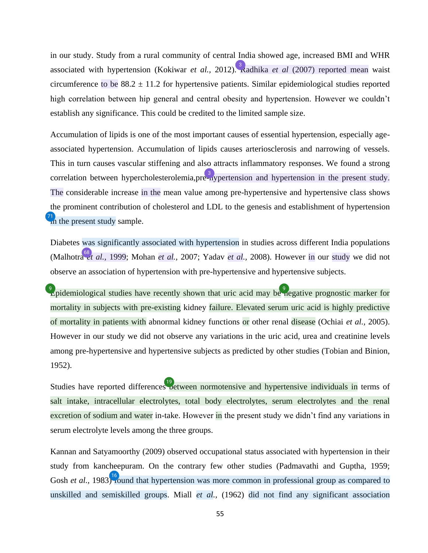<span id="page-55-0"></span>in our study. Study from a rural community of central India showed age, increased BMI and WHR associated with hypertension (Kokiwar *et al.*, 2012)[. R](#page-60-0)adhika *et al* (2007) reported mean waist circumference to be  $88.2 \pm 11.2$  for hypertensive patients. Similar epidemiological studies reported high correlation between hip general and central obesity and hypertension. However we couldn't establish any significance. This could be credited to the limited sample size.

Accumulation of lipids is one of the most important causes of essential hypertension, especially ageassociated hypertension. Accumulation of lipids causes arteriosclerosis and narrowing of vessels. This in turn causes vascular stiffening and also attracts inflammatory responses. We found a strong correlation between hypercholesterolemia, pre-nypertension and hypertension in the present study. The considerable increase in the mean value among pre-hypertensive and hypertensive class shows the prominent contribution of cholesterol and LDL to the genesis and establishment of hypertension  $\frac{71}{10}$  $\frac{71}{10}$  $\frac{71}{10}$  the present study sample.

Diabetes was significantly associated with hypertension in studies across different India populations (Malhotra *et al.,* 1999; Mohan *et al.,* 2007; Yadav *et al.,* 2008). However in our study we did not observe an association of hypertension with pre-hypertensive and hypertensive subjects.

**[E](#page-60-0)pidemiological studies have recently shown that uric acid may b[e ne](#page-60-0)gative prognostic marker for** mortality in subjects with pre-existing kidney failure. Elevated serum uric acid is highly predictive of mortality in patients with abnormal kidney functions or other renal disease (Ochiai *et al.,* 2005). However in our study we did not observe any variations in the uric acid, urea and creatinine levels among pre-hypertensive and hypertensive subjects as predicted by other studies (Tobian and Binion, 1952).

Studies have reported difference[s be](#page-61-0)tween normotensive and hypertensive individuals in terms of salt intake, intracellular electrolytes, total body electrolytes, serum electrolytes and the renal excretion of sodium and water in-take. However in the present study we didn't find any variations in serum electrolyte levels among the three groups.

Kannan and Satyamoorthy (2009) observed occupational status associated with hypertension in their study from kancheepuram. On the contrary few other studies (Padmavathi and Guptha, 1959; Gosh *et al.*, 1983[\) fo](#page-61-0)und that hypertension was more common in professional group as compared to unskilled and semiskilled groups. Miall *et al.,* (1962) did not find any significant association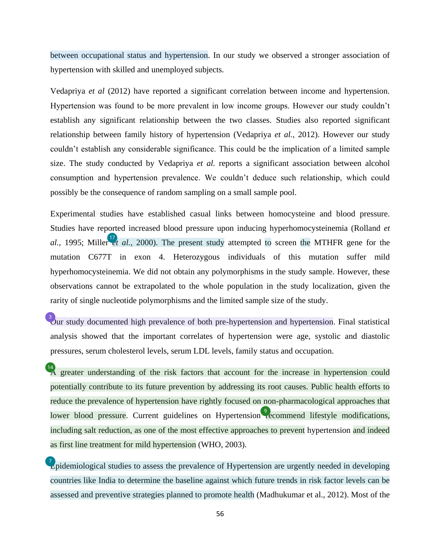<span id="page-56-0"></span>between occupational status and hypertension. In our study we observed a stronger association of hypertension with skilled and unemployed subjects.

Vedapriya *et al* (2012) have reported a significant correlation between income and hypertension. Hypertension was found to be more prevalent in low income groups. However our study couldn't establish any significant relationship between the two classes. Studies also reported significant relationship between family history of hypertension (Vedapriya *et al.,* 2012). However our study couldn't establish any considerable significance. This could be the implication of a limited sample size. The study conducted by Vedapriya *et al.* reports a significant association between alcohol consumption and hypertension prevalence. We couldn't deduce such relationship, which could possibly be the consequence of random sampling on a small sample pool.

Experimental studies have established casual links between homocysteine and blood pressure. Studies have reported increased blood pressure upon inducing hyperhomocysteinemia (Rolland *et*  al., 1995; Miller *et al.*, 2000). The present study attempted to screen the MTHFR gene for the mutation C677T in exon 4. Heterozygous individuals of this mutation suffer mild hyperhomocysteinemia. We did not obtain any polymorphisms in the study sample. However, these observations cannot be extrapolated to the whole population in the study localization, given the rarity of single nucleotide polymorphisms and the limited sample size of the study.

 $\frac{3}{2}$  our study documented high prevalence of both pre-hypertension and hypertension. Final statistical analysis showed that the important correlates of hypertension were age, systolic and diastolic pressures, serum cholesterol levels, serum LDL levels, family status and occupation.

<sup>[14](#page-61-0)</sup>A greater understanding of the risk factors that account for the increase in hypertension could potentially contribute to its future prevention by addressing its root causes. Public health efforts to reduce the prevalence of hypertension have rightly focused on non-pharmacological approaches that lower blood pressure. Current guidelines on Hypertensio[n re](#page-60-0)commend lifestyle modifications, including salt reduction, as one of the most effective approaches to prevent hypertension and indeed as first line treatment for mild hypertension (WHO, 2003).

Zpidemiological studies to assess the prevalence of Hypertension are urgently needed in developing countries like India to determine the baseline against which future trends in risk factor levels can be assessed and preventive strategies planned to promote health (Madhukumar et al., 2012). Most of the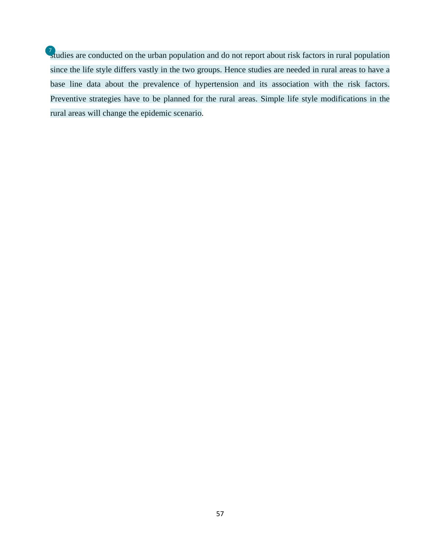[st](#page-60-0)udies are conducted on the urban population and do not report about risk factors in rural population since the life style differs vastly in the two groups. Hence studies are needed in rural areas to have a base line data about the prevalence of hypertension and its association with the risk factors. Preventive strategies have to be planned for the rural areas. Simple life style modifications in the rural areas will change the epidemic scenario.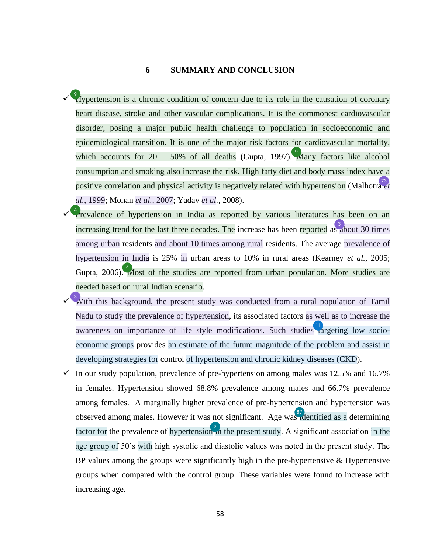#### **6 SUMMARY AND CONCLUSION**

- <span id="page-58-0"></span> $\checkmark$  [H](#page-60-0)ypertension is a chronic condition of concern due to its role in the causation of coronary heart disease, stroke and other vascular complications. It is the commonest cardiovascular disorder, posing a major public health challenge to population in socioeconomic and epidemiological transition. It is one of the major risk factors for cardiovascular mortality, which accounts for 20 – 50% of all deaths (Gupta, 1997)[. M](#page-60-0)any factors like alcohol consumption and smoking also increase the risk. High fatty diet and body mass index have a positive correlation and physical activity is negatively related with hypertension (Malhotra *et al.,* 1999; Mohan *et al.,* 2007; Yadav *et al.,* 2008).
- $\checkmark$ <sup>4</sup> revalence of hypertension in India as reported by various literatures has been on an increasing trend for the last three decades. The increase has been reported a[s ab](#page-60-0)out 30 times among urban residents and about 10 times among rural residents. The average prevalence of hypertension in India is 25% in urban areas to 10% in rural areas (Kearney *et al.,* 2005; Gupta, 2006)[. M](#page-60-0)ost of the studies are reported from urban population. More studies are needed based on rural Indian scenario.
- $\sqrt{\frac{3}{2}}$  with this background, the present study was conducted from a rural population of Tamil Nadu to study the prevalence of hypertension, its associated factors as well as to increase the awareness on importance of life style modifications. Such studies  $\mathbf{u}$  argeting low socioeconomic groups provides an estimate of the future magnitude of the problem and assist in developing strategies for control of hypertension and chronic kidney diseases (CKD).
- $\checkmark$  In our study population, prevalence of pre-hypertension among males was 12.5% and 16.7% in females. Hypertension showed 68.8% prevalence among males and 66.7% prevalence among females. A marginally higher prevalence of pre-hypertension and hypertension was observed among males. However it was not significant. Age wa[s id](#page-67-0)entified as a determining factor for the prevalence of hypertension  $\frac{2}{10}$  the present study. A significant associatio[n in](#page-60-0) the age group of 50's with high systolic and diastolic values was noted in the present study. The BP values among the groups were significantly high in the pre-hypertensive  $\&$  Hypertensive groups when compared with the control group. These variables were found to increase with increasing age.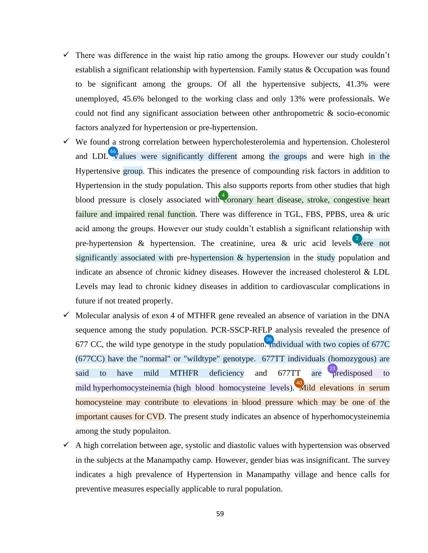- <span id="page-59-0"></span> $\checkmark$  There was difference in the waist hip ratio among the groups. However our study couldn't establish a significant relationship with hypertension. Family status & Occupation was found to be significant among the groups. Of all the hypertensive subjects, 41.3% were unemployed, 45.6% belonged to the working class and only 13% were professionals. We could not find any significant association between other anthropometric & socio-economic factors analyzed for hypertension or pre-hypertension.
- $\checkmark$  We found a strong correlation between hypercholesterolemia and hypertension. Cholesterol and LDL  $\sqrt[66]{\text{alues}}$  were significantly different among the groups and were high in the Hypertensive group. This indicates the presence of compounding risk factors in addition to Hypertension in the study population. This also supports reports from other studies that high blood pressure is closely associated wit[h co](#page-60-0)ronary heart disease, stroke, congestive heart failure and impaired renal function. There was difference in TGL, FBS, PPBS, urea & uric acid among the groups. However our study couldn't establish a significant relationship with pre-hypertension & hypertension. The creatinine, urea & uric acid levels [w](#page-60-0)ere not significantly associated with pre-hypertension & hypertension in the study population and indicate an absence of chronic kidney diseases. However the increased cholesterol & LDL Levels may lead to chronic kidney diseases in addition to cardiovascular complications in future if not treated properly.
- $\checkmark$  Molecular analysis of exon 4 of MTHFR gene revealed an absence of variation in the DNA sequence among the study population. PCR-SSCP-RFLP analysis revealed the presence of 677 CC, the wild type genotype in the study populatio[n. In](#page-63-0)dividual with two copies of 677C (677CC) have the "normal" or "wildtype" genotype. 677TT individuals (homozygous) are said to have mild MTHFR deficiency and  $677TT$  are [pr](#page-62-0)edisposed to mild hyperhomocysteinemia (high blood homocysteine levels)[. M](#page-63-0)ild elevations in serum homocysteine may contribute to elevations in blood pressure which may be one of the important causes for CVD. The present study indicates an absence of hyperhomocysteinemia among the study populaiton.
- $\checkmark$  A high correlation between age, systolic and diastolic values with hypertension was observed in the subjects at the Manampathy camp. However, gender bias was insignificant. The survey indicates a high prevalence of Hypertension in Manampathy village and hence calls for preventive measures especially applicable to rural population.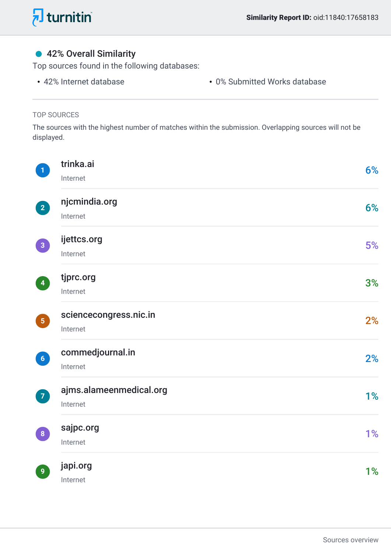<span id="page-60-0"></span>

### ● 42% Overall Similarity

Top sources found in the following databases:

- 
- 42% Internet database 0% Submitted Works database

#### TOP SOURCES

The sources with the highest number of matches within the submission. Overlapping sources will not be displayed.

| $\mathbf 1$     | trinka.ai<br>Internet               | 6% |
|-----------------|-------------------------------------|----|
| $\boxed{2}$     | njcmindia.org<br>Internet           | 6% |
| $\boxed{3}$     | ijettcs.org<br>Internet             | 5% |
| $\vert 4 \vert$ | tjprc.org<br>Internet               | 3% |
| $\boxed{5}$     | sciencecongress.nic.in<br>Internet  | 2% |
| $\boxed{6}$     | commedjournal.in<br>Internet        | 2% |
| $\mathbf{Z}$    | ajms.alameenmedical.org<br>Internet | 1% |
| $\vert 8 \vert$ | sajpc.org<br>Internet               | 1% |
| $\overline{9}$  | japi.org<br>Internet                | 1% |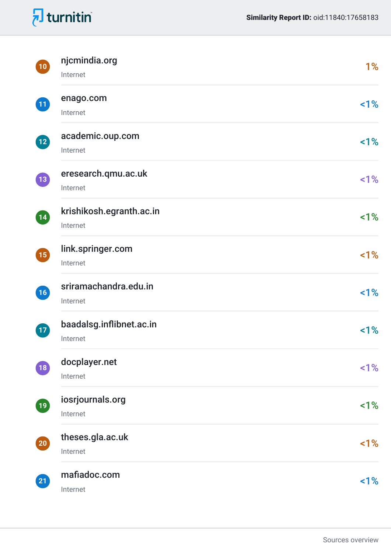<span id="page-61-0"></span>

| $\boxed{10}$       | njcmindia.org<br>Internet            | 1%    |
|--------------------|--------------------------------------|-------|
| 11                 | enago.com<br>Internet                | 1%    |
| $\overline{12}$    | academic.oup.com<br>Internet         | $1\%$ |
| $\overline{13}$    | eresearch.qmu.ac.uk<br>Internet      | 1%    |
| $\left(14\right)$  | krishikosh.egranth.ac.in<br>Internet | 1%    |
| <b>15</b>          | link.springer.com<br>Internet        | 1%    |
| $\left(16\right)$  | sriramachandra.edu.in<br>Internet    | 1%    |
| $\left( 17\right)$ | baadalsg.inflibnet.ac.in<br>Internet | $1\%$ |
| 18                 | docplayer.net<br>Internet            | 1%    |
| $\left(19\right)$  | iosrjournals.org<br>Internet         | 1%    |
| $\boxed{20}$       | theses.gla.ac.uk<br>Internet         | 1%    |
| $\boxed{21}$       | mafiadoc.com<br>Internet             | 1%    |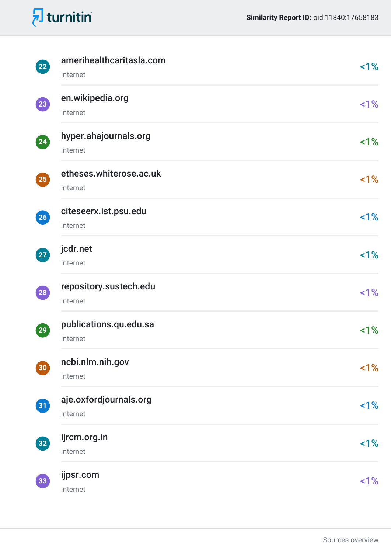<span id="page-62-0"></span>

| $\boxed{22}$       | amerihealthcaritasla.com<br>Internet | 1%    |
|--------------------|--------------------------------------|-------|
| $\left( 23\right)$ | en.wikipedia.org<br>Internet         | $1\%$ |
| $\left( 24\right)$ | hyper.ahajournals.org<br>Internet    | 1%    |
| $\left( 25\right)$ | etheses.whiterose.ac.uk<br>Internet  | $1\%$ |
| $\left( 26\right)$ | citeseerx.ist.psu.edu<br>Internet    | 1%    |
| $\boxed{27}$       | jcdr.net<br>Internet                 | 1%    |
| $\boxed{28}$       | repository.sustech.edu<br>Internet   | 1%    |
| $\boxed{29}$       | publications.qu.edu.sa<br>Internet   | 1%    |
| $\boxed{30}$       | ncbi.nlm.nih.gov<br>Internet         | 1%    |
| 31                 | aje.oxfordjournals.org<br>Internet   | 1%    |
| $\left( 32\right)$ | ijrcm.org.in<br>Internet             | 1%    |
| 33 <sup>7</sup>    | ijpsr.com<br>Internet                | 1%    |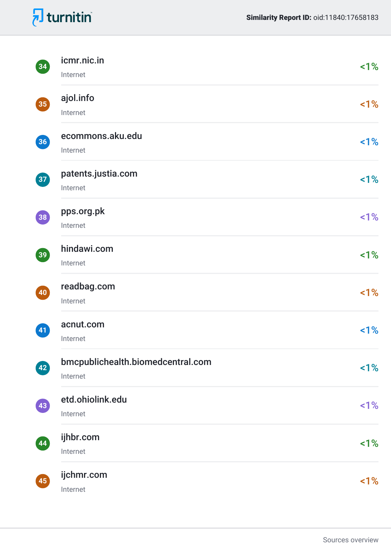<span id="page-63-0"></span>

| $\left( 34\right)$       | icmr.nic.in<br>Internet                       | $1\%$ |
|--------------------------|-----------------------------------------------|-------|
| 35                       | ajol.info<br>Internet                         | $1\%$ |
| $\left( 36\right)$       | ecommons.aku.edu<br>Internet                  | $1\%$ |
| $\overline{\mathbf{37}}$ | patents.justia.com<br>Internet                | 1%    |
| 38                       | pps.org.pk<br>Internet                        | $1\%$ |
| $\left(39\right)$        | hindawi.com<br>Internet                       | 1%    |
| $\left( 40\right)$       | readbag.com<br>Internet                       | 1%    |
| $\boxed{41}$             | acnut.com<br>Internet                         | 1%    |
| $\left( 42\right)$       | bmcpublichealth.biomedcentral.com<br>Internet | $1\%$ |
| $\left( 43\right)$       | etd.ohiolink.edu<br>Internet                  | $1\%$ |
| $\left( 44\right)$       | ijhbr.com<br>Internet                         | $1\%$ |
| $\boxed{45}$             | ijchmr.com<br>Internet                        | $1\%$ |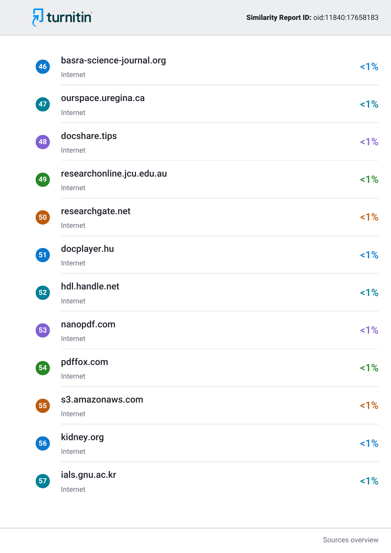<span id="page-64-0"></span>

| 46                | basra-science-journal.org<br>Internet | 1%    |
|-------------------|---------------------------------------|-------|
| $\boxed{47}$      | ourspace.uregina.ca<br>Internet       | 1%    |
| $\boxed{48}$      | docshare.tips<br>Internet             | 1%    |
| 49                | researchonline.jcu.edu.au<br>Internet | 1%    |
| 50                | researchgate.net<br>Internet          | 1%    |
| 51                | docplayer.hu<br>Internet              | 1%    |
| $\left(52\right)$ | hdl.handle.net<br>Internet            | 1%    |
| 53                | nanopdf.com<br>Internet               | $1\%$ |
| $\boxed{54}$      | pdffox.com<br>Internet                | 1%    |
| 55                | s3.amazonaws.com<br>Internet          | $1\%$ |
| 56                | kidney.org<br>Internet                | 1%    |
| $\boxed{57}$      | ials.gnu.ac.kr<br>Internet            | 1%    |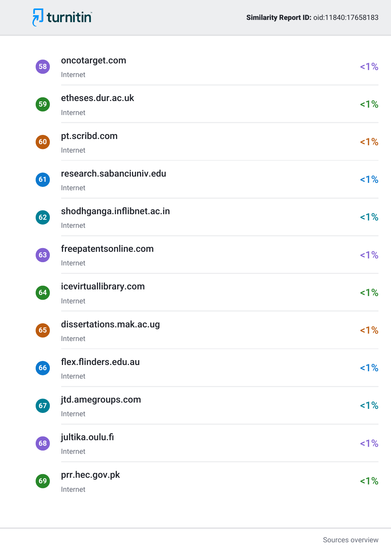<span id="page-65-0"></span>

| $\left[58\right]$                  | oncotarget.com<br>Internet             | $1\%$ |
|------------------------------------|----------------------------------------|-------|
| $\left(59\right)$                  | etheses.dur.ac.uk<br>Internet          | 1%    |
| $\left( 60 \right)$                | pt.scribd.com<br>Internet              | $1\%$ |
| 61                                 | research.sabanciuniv.edu<br>Internet   | 1%    |
| $\left( 62\right)$                 | shodhganga.inflibnet.ac.in<br>Internet | 1%    |
| $\begin{bmatrix} 63 \end{bmatrix}$ | freepatentsonline.com<br>Internet      | 1%    |
| (64)                               | icevirtuallibrary.com<br>Internet      | 1%    |
| 65)                                | dissertations.mak.ac.ug<br>Internet    | $1\%$ |
| $66)$                              | flex.flinders.edu.au<br>Internet       | 1%    |
| $67$                               | jtd.amegroups.com<br>Internet          | 1%    |
| $68)$                              | jultika.oulu.fi<br>Internet            | 1%    |
| 69)                                | prr.hec.gov.pk<br>Internet             | 1%    |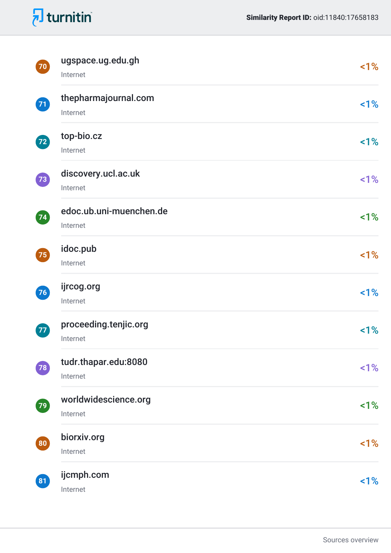<span id="page-66-0"></span>

| $\boxed{70}$       | ugspace.ug.edu.gh<br>Internet       | 1%    |
|--------------------|-------------------------------------|-------|
| $\bf{Z}$           | thepharmajournal.com<br>Internet    | 1%    |
| $\left( 72\right)$ | top-bio.cz<br>Internet              | 1%    |
| $\left( 73\right)$ | discovery.ucl.ac.uk<br>Internet     | 1%    |
| $\left( 74\right)$ | edoc.ub.uni-muenchen.de<br>Internet | 1%    |
| 75                 | idoc.pub<br>Internet                | 1%    |
| 76                 | ijrcog.org<br>Internet              | 1%    |
| $\left( 77\right)$ | proceeding.tenjic.org<br>Internet   | 1%    |
| 78                 | tudr.thapar.edu:8080<br>Internet    | $1\%$ |
| $\left( 79\right)$ | worldwidescience.org<br>Internet    | 1%    |
| $\boxed{80}$       | biorxiv.org<br>Internet             | 1%    |
| $\boxed{81}$       | ijcmph.com<br>Internet              | 1%    |